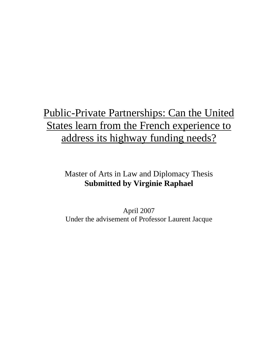# Public-Private Partnerships: Can the United States learn from the French experience to address its highway funding needs?

## Master of Arts in Law and Diplomacy Thesis **Submitted by Virginie Raphael**

April 2007 Under the advisement of Professor Laurent Jacque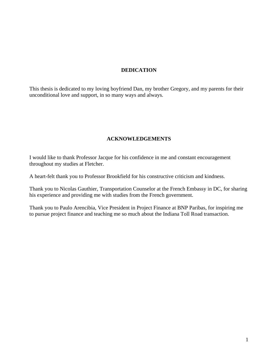## **DEDICATION**

This thesis is dedicated to my loving boyfriend Dan, my brother Gregory, and my parents for their unconditional love and support, in so many ways and always.

## **ACKNOWLEDGEMENTS**

I would like to thank Professor Jacque for his confidence in me and constant encouragement throughout my studies at Fletcher.

A heart-felt thank you to Professor Brookfield for his constructive criticism and kindness.

Thank you to Nicolas Gauthier, Transportation Counselor at the French Embassy in DC, for sharing his experience and providing me with studies from the French government.

Thank you to Paulo Arencibia, Vice President in Project Finance at BNP Paribas, for inspiring me to pursue project finance and teaching me so much about the Indiana Toll Road transaction.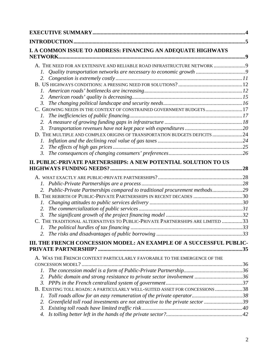| I. A COMMON ISSUE TO ADDRESS: FINANCING AN ADEQUATE HIGHWAYS<br>NETWORK.                 |  |
|------------------------------------------------------------------------------------------|--|
| A. THE NEED FOR AN EXTENSIVE AND RELIABLE ROAD INFRASTRUCTURE NETWORK  9                 |  |
|                                                                                          |  |
|                                                                                          |  |
|                                                                                          |  |
|                                                                                          |  |
| 2.                                                                                       |  |
| 3.                                                                                       |  |
| C. GROWING NEEDS IN THE CONTEXT OF CONSTRAINED GOVERNMENT BUDGETS17                      |  |
|                                                                                          |  |
|                                                                                          |  |
| $\mathfrak{Z}$ .                                                                         |  |
| D. THE MULTIPLE AND COMPLEX ORIGINS OF TRANSPORTATION BUDGETS DEFICITS 24                |  |
| $l_{\cdot}$                                                                              |  |
| 2.                                                                                       |  |
| 3.                                                                                       |  |
| II. PUBLIC-PRIVATE PARTNERSHIPS: A NEW POTENTIAL SOLUTION TO US                          |  |
|                                                                                          |  |
|                                                                                          |  |
| 2. Public-Private Partnerships compared to traditional procurement methods29             |  |
| B. THE REBIRTH OF PUBLIC-PRIVATE PARTNERSHIPS IN RECENT DECADES 30                       |  |
|                                                                                          |  |
| 2.                                                                                       |  |
| $\mathfrak{Z}$ .                                                                         |  |
| C. THE TRADITIONAL ALTERNATIVES TO PUBLIC-PRIVATE PARTNERSHIPS ARE LIMITED 33            |  |
| 1.                                                                                       |  |
| 2.                                                                                       |  |
| III. THE FRENCH CONCESSION MODEL: AN EXAMPLE OF A SUCCESSFUL PUBLIC-                     |  |
|                                                                                          |  |
| A. WAS THE FRENCH CONTEXT PARTICULARLY FAVORABLE TO THE EMERGENCE OF THE                 |  |
|                                                                                          |  |
| 1.                                                                                       |  |
| Public domain and strong resistance to private sector involvement 36<br>2.               |  |
| 3.                                                                                       |  |
| B. EXISTING TOLL ROADS: A PARTICULARLY WELL-SUITED ASSET FOR CONCESSIONS 38              |  |
| 1.<br>Greenfield toll road investments are not attractive to the private sector 39<br>2. |  |
| 3.                                                                                       |  |
| 4.                                                                                       |  |
|                                                                                          |  |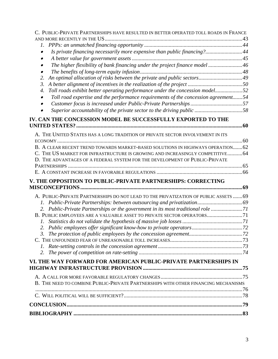| C. PUBLIC-PRIVATE PARTNERSHIPS HAVE RESULTED IN BETTER OPERATED TOLL ROADS IN FRANCE |  |
|--------------------------------------------------------------------------------------|--|
|                                                                                      |  |
| $l_{\cdot}$                                                                          |  |
| Is private financing necessarily more expensive than public financing?44             |  |
|                                                                                      |  |
| The higher flexibility of bank financing under the project finance model 46          |  |
|                                                                                      |  |
| An optimal allocation of risks between the private and public sectors49<br>2.        |  |
| $\mathfrak{Z}$ .                                                                     |  |
| Toll roads exhibit better operating performance under the concession model52<br>4.   |  |
| Toll road expertise and the performance requirements of the concession agreement54   |  |
|                                                                                      |  |
| Superior accountability of the private sector to the driving public 58               |  |
| IV. CAN THE CONCESSION MODEL BE SUCCESSFULLY EXPORTED TO THE                         |  |
| A. THE UNITED STATES HAS A LONG TRADITION OF PRIVATE SECTOR INVOLVEMENT IN ITS       |  |
|                                                                                      |  |
| B. A CLEAR RECENT TREND TOWARDS MARKET-BASED SOLUTIONS IN HIGHWAYS OPERATION 62      |  |
| C. THE US MARKET FOR INFRASTRUCTURE IS GROWING AND INCREASINGLY COMPETITIVE 64       |  |
| D. THE ADVANTAGES OF A FEDERAL SYSTEM FOR THE DEVELOPMENT OF PUBLIC-PRIVATE          |  |
|                                                                                      |  |
|                                                                                      |  |
| V. THE OPPOSITION TO PUBLIC-PRIVATE PARTNERSHIPS: CORRECTING                         |  |
|                                                                                      |  |
| A. PUBLIC-PRIVATE PARTNERSHIPS DO NOT LEAD TO THE PRIVATIZATION OF PUBLIC ASSETS 69  |  |
|                                                                                      |  |
| 2. Public-Private Partnerships or the government in its most traditional role        |  |
|                                                                                      |  |
|                                                                                      |  |
|                                                                                      |  |
|                                                                                      |  |
|                                                                                      |  |
|                                                                                      |  |
|                                                                                      |  |
| VI. THE WAY FORWARD FOR AMERICAN PUBLIC-PRIVATE PARTNERSHIPS IN                      |  |
|                                                                                      |  |
| B. THE NEED TO COMBINE PUBLIC-PRIVATE PARTNERSHIPS WITH OTHER FINANCING MECHANISMS   |  |
|                                                                                      |  |
|                                                                                      |  |
|                                                                                      |  |
|                                                                                      |  |
|                                                                                      |  |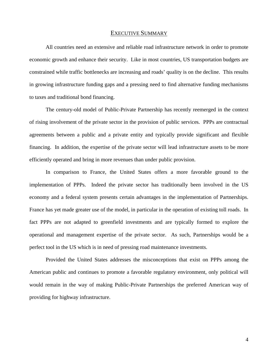#### EXECUTIVE SUMMARY

All countries need an extensive and reliable road infrastructure network in order to promote economic growth and enhance their security. Like in most countries, US transportation budgets are constrained while traffic bottlenecks are increasing and roads' quality is on the decline. This results in growing infrastructure funding gaps and a pressing need to find alternative funding mechanisms to taxes and traditional bond financing.

The century-old model of Public-Private Partnership has recently reemerged in the context of rising involvement of the private sector in the provision of public services. PPPs are contractual agreements between a public and a private entity and typically provide significant and flexible financing. In addition, the expertise of the private sector will lead infrastructure assets to be more efficiently operated and bring in more revenues than under public provision.

In comparison to France, the United States offers a more favorable ground to the implementation of PPPs. Indeed the private sector has traditionally been involved in the US economy and a federal system presents certain advantages in the implementation of Partnerships. France has yet made greater use of the model, in particular in the operation of existing toll roads. In fact PPPs are not adapted to greenfield investments and are typically formed to explore the operational and management expertise of the private sector. As such, Partnerships would be a perfect tool in the US which is in need of pressing road maintenance investments.

Provided the United States addresses the misconceptions that exist on PPPs among the American public and continues to promote a favorable regulatory environment, only political will would remain in the way of making Public-Private Partnerships the preferred American way of providing for highway infrastructure.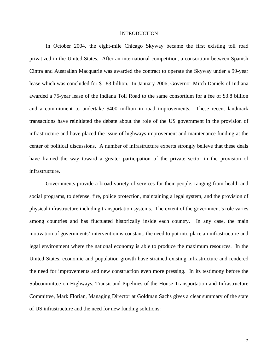#### **INTRODUCTION**

In October 2004, the eight-mile Chicago Skyway became the first existing toll road privatized in the United States. After an international competition, a consortium between Spanish Cintra and Australian Macquarie was awarded the contract to operate the Skyway under a 99-year lease which was concluded for \$1.83 billion. In January 2006, Governor Mitch Daniels of Indiana awarded a 75-year lease of the Indiana Toll Road to the same consortium for a fee of \$3.8 billion and a commitment to undertake \$400 million in road improvements. These recent landmark transactions have reinitiated the debate about the role of the US government in the provision of infrastructure and have placed the issue of highways improvement and maintenance funding at the center of political discussions. A number of infrastructure experts strongly believe that these deals have framed the way toward a greater participation of the private sector in the provision of infrastructure.

Governments provide a broad variety of services for their people, ranging from health and social programs, to defense, fire, police protection, maintaining a legal system, and the provision of physical infrastructure including transportation systems. The extent of the government's role varies among countries and has fluctuated historically inside each country. In any case, the main motivation of governments' intervention is constant: the need to put into place an infrastructure and legal environment where the national economy is able to produce the maximum resources. In the United States, economic and population growth have strained existing infrastructure and rendered the need for improvements and new construction even more pressing. In its testimony before the Subcommittee on Highways, Transit and Pipelines of the House Transportation and Infrastructure Committee, Mark Florian, Managing Director at Goldman Sachs gives a clear summary of the state of US infrastructure and the need for new funding solutions: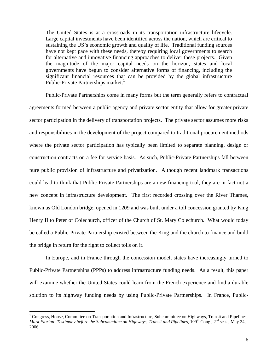The United States is at a crossroads in its transportation infrastructure lifecycle. Large capital investments have been identified across the nation, which are critical to sustaining the US's economic growth and quality of life. Traditional funding sources have not kept pace with these needs, thereby requiring local governments to search for alternative and innovative financing approaches to deliver these projects. Given the magnitude of the major capital needs on the horizon, states and local governments have begun to consider alternative forms of financing, including the significant financial resources that can be provided by the global infrastructure Public-Private Partnerships market.<sup>1</sup>

Public-Private Partnerships come in many forms but the term generally refers to contractual agreements formed between a public agency and private sector entity that allow for greater private sector participation in the delivery of transportation projects. The private sector assumes more risks and responsibilities in the development of the project compared to traditional procurement methods where the private sector participation has typically been limited to separate planning, design or construction contracts on a fee for service basis. As such, Public-Private Partnerships fall between pure public provision of infrastructure and privatization. Although recent landmark transactions could lead to think that Public-Private Partnerships are a new financing tool, they are in fact not a new concept in infrastructure development. The first recorded crossing over the River Thames, known as Old London bridge, opened in 1209 and was built under a toll concession granted by King Henry II to Peter of Colechurch, officer of the Church of St. Mary Colechurch. What would today be called a Public-Private Partnership existed between the King and the church to finance and build the bridge in return for the right to collect tolls on it.

In Europe, and in France through the concession model, states have increasingly turned to Public-Private Partnerships (PPPs) to address infrastructure funding needs. As a result, this paper will examine whether the United States could learn from the French experience and find a durable solution to its highway funding needs by using Public-Private Partnerships. In France, Public-

<sup>&</sup>lt;sup>1</sup> Congress, House, Committee on Transportation and Infrastructure, Subcommittee on Highways, Transit and Pipelines, *Mark Florian: Testimony before the Subcommittee on Highways, Transit and Pipelines*, 109<sup>th</sup> Cong., 2<sup>nd</sup> sess., May 24, 2006.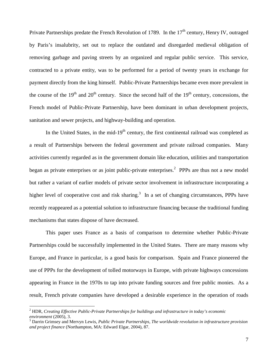Private Partnerships predate the French Revolution of 1789. In the  $17<sup>th</sup>$  century, Henry IV, outraged by Paris's insalubrity, set out to replace the outdated and disregarded medieval obligation of removing garbage and paving streets by an organized and regular public service. This service, contracted to a private entity, was to be performed for a period of twenty years in exchange for payment directly from the king himself. Public-Private Partnerships became even more prevalent in the course of the  $19<sup>th</sup>$  and  $20<sup>th</sup>$  century. Since the second half of the  $19<sup>th</sup>$  century, concessions, the French model of Public-Private Partnership, have been dominant in urban development projects, sanitation and sewer projects, and highway-building and operation.

In the United States, in the mid-19<sup>th</sup> century, the first continental railroad was completed as a result of Partnerships between the federal government and private railroad companies. Many activities currently regarded as in the government domain like education, utilities and transportation began as private enterprises or as joint public-private enterprises.<sup>2</sup> PPPs are thus not a new model but rather a variant of earlier models of private sector involvement in infrastructure incorporating a higher level of cooperative cost and risk sharing.<sup>3</sup> In a set of changing circumstances, PPPs have recently reappeared as a potential solution to infrastructure financing because the traditional funding mechanisms that states dispose of have decreased.

This paper uses France as a basis of comparison to determine whether Public-Private Partnerships could be successfully implemented in the United States. There are many reasons why Europe, and France in particular, is a good basis for comparison. Spain and France pioneered the use of PPPs for the development of tolled motorways in Europe, with private highways concessions appearing in France in the 1970s to tap into private funding sources and free public monies. As a result, French private companies have developed a desirable experience in the operation of roads

<sup>2</sup> HDR, *Creating Effective Public-Private Partnerships for buildings and infrastructure in today's economic environment* (2005), 3.

Darrin Grimsey and Mervyn Lewis, *Public Private Partnerships, The worldwide revolution in infrastructure provision and project finance* (Northampton, MA: Edward Elgar, 2004), 87.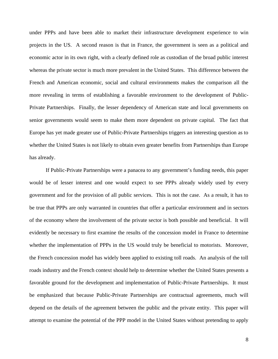under PPPs and have been able to market their infrastructure development experience to win projects in the US. A second reason is that in France, the government is seen as a political and economic actor in its own right, with a clearly defined role as custodian of the broad public interest whereas the private sector is much more prevalent in the United States. This difference between the French and American economic, social and cultural environments makes the comparison all the more revealing in terms of establishing a favorable environment to the development of Public-Private Partnerships. Finally, the lesser dependency of American state and local governments on senior governments would seem to make them more dependent on private capital. The fact that Europe has yet made greater use of Public-Private Partnerships triggers an interesting question as to whether the United States is not likely to obtain even greater benefits from Partnerships than Europe has already.

If Public-Private Partnerships were a panacea to any government's funding needs, this paper would be of lesser interest and one would expect to see PPPs already widely used by every government and for the provision of all public services. This is not the case. As a result, it has to be true that PPPs are only warranted in countries that offer a particular environment and in sectors of the economy where the involvement of the private sector is both possible and beneficial. It will evidently be necessary to first examine the results of the concession model in France to determine whether the implementation of PPPs in the US would truly be beneficial to motorists. Moreover, the French concession model has widely been applied to existing toll roads. An analysis of the toll roads industry and the French context should help to determine whether the United States presents a favorable ground for the development and implementation of Public-Private Partnerships. It must be emphasized that because Public-Private Partnerships are contractual agreements, much will depend on the details of the agreement between the public and the private entity. This paper will attempt to examine the potential of the PPP model in the United States without pretending to apply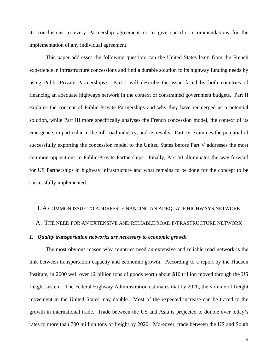its conclusions to every Partnership agreement or to give specific recommendations for the implementation of any individual agreement.

This paper addresses the following question: can the United States learn from the French experience in infrastructure concessions and find a durable solution to its highway funding needs by using Public-Private Partnerships? Part I will describe the issue faced by both countries of financing an adequate highways network in the context of constrained government budgets. Part II explains the concept of Public-Private Partnerships and why they have reemerged as a potential solution, while Part III more specifically analyses the French concession model, the context of its emergence, in particular in the toll road industry, and its results. Part IV examines the potential of successfully exporting the concession model to the United States before Part V addresses the most common oppositions to Public-Private Partnerships. Finally, Part VI illuminates the way forward for US Partnerships in highway infrastructure and what remains to be done for the concept to be successfully implemented.

#### I. A COMMON ISSUE TO ADDRESS: FINANCING AN ADEQUATE HIGHWAYS NETWORK

#### A. THE NEED FOR AN EXTENSIVE AND RELIABLE ROAD INFRASTRUCTURE NETWORK

#### *1. Quality transportation networks are necessary to economic growth*

The most obvious reason why countries need an extensive and reliable road network is the link between transportation capacity and economic growth. According to a report by the Hudson Institute, in 2000 well over 12 billion tons of goods worth about \$10 trillion moved through the US freight system. The Federal Highway Administration estimates that by 2020, the volume of freight movement in the United States may double. Most of the expected increase can be traced to the growth in international trade. Trade between the US and Asia is projected to double over today's rates to more than 700 million tons of freight by 2020. Moreover, trade between the US and South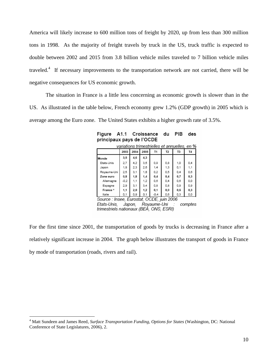America will likely increase to 600 million tons of freight by 2020, up from less than 300 million tons in 1998. As the majority of freight travels by truck in the US, truck traffic is expected to double between 2002 and 2015 from 3.8 billion vehicle miles traveled to 7 billion vehicle miles traveled.<sup>4</sup> If necessary improvements to the transportation network are not carried, there will be negative consequences for US economic growth.

The situation in France is a little less concerning as economic growth is slower than in the US. As illustrated in the table below, French economy grew 1.2% (GDP growth) in 2005 which is average among the Euro zone. The United States exhibits a higher growth rate of 3.5%.

Figure A1.1 Croissance du

principaux pays de l'OCDE

| variations trimestrielles et annuelles, en 9 |        |      |      |          |                |     |     |
|----------------------------------------------|--------|------|------|----------|----------------|-----|-----|
|                                              | 2003   | 2004 | 2005 | T1       | T <sub>2</sub> | T3  | T4  |
| Monde                                        | 3,5    | 4.6  | 4.3  |          |                |     |     |
| Etats-Unis                                   | 2.7    | 4.2  | 3.5  | 0.9      | 0.8            | 1,0 | 0.4 |
| Japon                                        | 1.8    | 2,3  | 2.6  | 1.4      | 1,3            | 0,1 | 1,1 |
| Royaume-Uni                                  | 2.5    | 3.1  | 1.8  | 0,2      | 0.5            | 0.4 | 0.6 |
| Zone euro                                    | 0,8    | 1,8  | 1,4  | $_{0,4}$ | 0,4            | 0,7 | 0,3 |
| Allemagne                                    | $-0.2$ | 1.1  | 1.2  | 0,6      | 0.4            | 0.6 | 0.0 |
| Espagne                                      | 2.9    | 3.1  | 3.4  | 0,8      | 0,8            | 0.9 | 0.9 |
| France *                                     | 1,1    | 2.0  | 1.2  | 0,1      | 0,0            | 0,6 | 0,3 |
| Italie                                       | 0,1    | 0.9  | 0.1  | $-0.4$   | 0,6            | 0,3 | 0.0 |

PIB

des

Source : Insee, Eurostat, OCDE, juin 2006 Etats-Unis, Japon, Royaume-Uni comptes trimestriels nationaux (BEA, ONS, ESRI)

For the first time since 2001, the transportation of goods by trucks is decreasing in France after a relatively significant increase in 2004. The graph below illustrates the transport of goods in France by mode of transportation (roads, rivers and rail).

<sup>4</sup> Matt Sundeen and James Reed, *Surface Transportation Funding, Options for States* (Washington, DC: National Conference of State Legislatures, 2006), 2.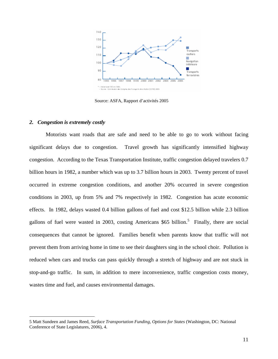

Source: ASFA, Rapport d'activités 2005

#### *2. Congestion is extremely costly*

 $\overline{a}$ 

Motorists want roads that are safe and need to be able to go to work without facing significant delays due to congestion. Travel growth has significantly intensified highway congestion. According to the Texas Transportation Institute, traffic congestion delayed travelers 0.7 billion hours in 1982, a number which was up to 3.7 billion hours in 2003. Twenty percent of travel occurred in extreme congestion conditions, and another 20% occurred in severe congestion conditions in 2003, up from 5% and 7% respectively in 1982. Congestion has acute economic effects. In 1982, delays wasted 0.4 billion gallons of fuel and cost \$12.5 billion while 2.3 billion gallons of fuel were wasted in 2003, costing Americans \$65 billion.<sup>5</sup> Finally, there are social consequences that cannot be ignored. Families benefit when parents know that traffic will not prevent them from arriving home in time to see their daughters sing in the school choir. Pollution is reduced when cars and trucks can pass quickly through a stretch of highway and are not stuck in stop-and-go traffic. In sum, in addition to mere inconvenience, traffic congestion costs money, wastes time and fuel, and causes environmental damages.

<sup>5</sup> Matt Sundeen and James Reed, *Surface Transportation Funding, Options for States* (Washington, DC: National Conference of State Legislatures, 2006), 4.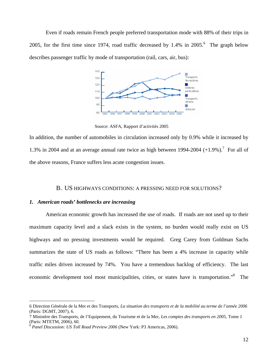Even if roads remain French people preferred transportation mode with 88% of their trips in 2005, for the first time since 1974, road traffic decreased by  $1.4\%$  in 2005.<sup>6</sup> The graph below describes passenger traffic by mode of transportation (rail, cars, air, bus):



Source: ASFA, Rapport d'activités 2005

In addition, the number of automobiles in circulation increased only by 0.9% while it increased by 1.3% in 2004 and at an average annual rate twice as high between 1994-2004  $(+1.9\%)$ <sup>7</sup> For all of the above reasons, France suffers less acute congestion issues.

#### B. US HIGHWAYS CONDITIONS: A PRESSING NEED FOR SOLUTIONS?

#### *1. American roads' bottlenecks are increasing*

 $\overline{a}$ 

American economic growth has increased the use of roads. If roads are not used up to their maximum capacity level and a slack exists in the system, no burden would really exist on US highways and no pressing investments would be required. Greg Carey from Goldman Sachs summarizes the state of US roads as follows: "There has been a 4% increase in capacity while traffic miles driven increased by 74%. You have a tremendous backlog of efficiency. The last economic development tool most municipalities, cities, or states have is transportation."<sup>8</sup> The

<sup>6</sup> Direction Générale de la Mer et des Transports, *La situation des transports et de la mobilité au terme de l'année 2006* (Paris: DGMT, 2007), 6.

<sup>7</sup> Ministère des Transports, de l'Equipement, du Tourisme et de la Mer, *Les comptes des transports en 2005*, Tome 1 (Paris: MTETM, 2006), 60.

<sup>8</sup> *Panel Discussion: US Toll Road Preview 2006* (New York: P3 Americas, 2006).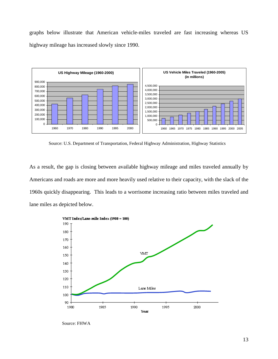graphs below illustrate that American vehicle-miles traveled are fast increasing whereas US highway mileage has increased slowly since 1990.



Source: U.S. Department of Transportation, Federal Highway Administration, Highway Statistics

As a result, the gap is closing between available highway mileage and miles traveled annually by Americans and roads are more and more heavily used relative to their capacity, with the slack of the 1960s quickly disappearing. This leads to a worrisome increasing ratio between miles traveled and lane miles as depicted below.



Source: FHWA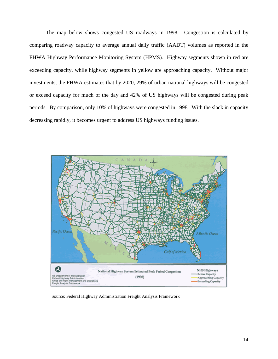The map below shows congested US roadways in 1998. Congestion is calculated by comparing roadway capacity to average annual daily traffic (AADT) volumes as reported in the FHWA Highway Performance Monitoring System (HPMS). Highway segments shown in red are exceeding capacity, while highway segments in yellow are approaching capacity. Without major investments, the FHWA estimates that by 2020, 29% of urban national highways will be congested or exceed capacity for much of the day and 42% of US highways will be congested during peak periods. By comparison, only 10% of highways were congested in 1998. With the slack in capacity decreasing rapidly, it becomes urgent to address US highways funding issues.



Source: Federal Highway Administration Freight Analysis Framework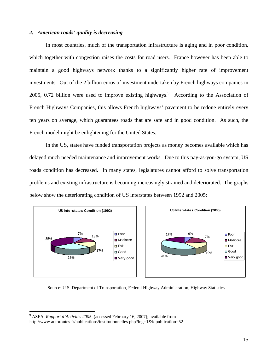#### *2. American roads' quality is decreasing*

In most countries, much of the transportation infrastructure is aging and in poor condition, which together with congestion raises the costs for road users. France however has been able to maintain a good highways network thanks to a significantly higher rate of improvement investments. Out of the 2 billion euros of investment undertaken by French highways companies in 2005, 0.72 billion were used to improve existing highways.<sup>9</sup> According to the Association of French Highways Companies, this allows French highways' pavement to be redone entirely every ten years on average, which guarantees roads that are safe and in good condition. As such, the French model might be enlightening for the United States.

In the US, states have funded transportation projects as money becomes available which has delayed much needed maintenance and improvement works. Due to this pay-as-you-go system, US roads condition has decreased. In many states, legislatures cannot afford to solve transportation problems and existing infrastructure is becoming increasingly strained and deteriorated. The graphs below show the deteriorating condition of US interstates between 1992 and 2005:



Source: U.S. Department of Transportation, Federal Highway Administration, Highway Statistics

<sup>9</sup> ASFA, *Rapport d'Activités 2005*, (accessed February 16, 2007); available from

http://www.autoroutes.fr/publications/institutionnelles.php?lng=1&idpublication=52.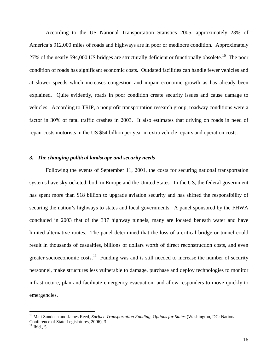According to the US National Transportation Statistics 2005, approximately 23% of America's 912,000 miles of roads and highways are in poor or mediocre condition. Approximately 27% of the nearly 594,000 US bridges are structurally deficient or functionally obsolete.<sup>10</sup> The poor condition of roads has significant economic costs. Outdated facilities can handle fewer vehicles and at slower speeds which increases congestion and impair economic growth as has already been explained. Quite evidently, roads in poor condition create security issues and cause damage to vehicles. According to TRIP, a nonprofit transportation research group, roadway conditions were a factor in 30% of fatal traffic crashes in 2003. It also estimates that driving on roads in need of repair costs motorists in the US \$54 billion per year in extra vehicle repairs and operation costs.

#### *3. The changing political landscape and security needs*

Following the events of September 11, 2001, the costs for securing national transportation systems have skyrocketed, both in Europe and the United States. In the US, the federal government has spent more than \$18 billion to upgrade aviation security and has shifted the responsibility of securing the nation's highways to states and local governments. A panel sponsored by the FHWA concluded in 2003 that of the 337 highway tunnels, many are located beneath water and have limited alternative routes. The panel determined that the loss of a critical bridge or tunnel could result in thousands of casualties, billions of dollars worth of direct reconstruction costs, and even greater socioeconomic costs.<sup>11</sup> Funding was and is still needed to increase the number of security personnel, make structures less vulnerable to damage, purchase and deploy technologies to monitor infrastructure, plan and facilitate emergency evacuation, and allow responders to move quickly to emergencies.

<sup>&</sup>lt;sup>10</sup> Matt Sundeen and James Reed, *Surface Transportation Funding, Options for States* (Washington, DC: National Conference of State Legislatures, 2006), 3.

 $<sup>11</sup>$  Ibid., 5.</sup>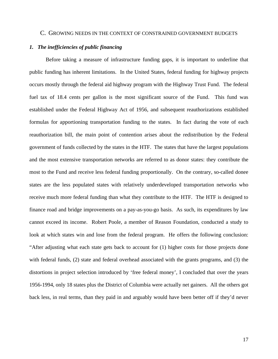#### C. GROWING NEEDS IN THE CONTEXT OF CONSTRAINED GOVERNMENT BUDGETS

## *1. The inefficiencies of public financing*

Before taking a measure of infrastructure funding gaps, it is important to underline that public funding has inherent limitations. In the United States, federal funding for highway projects occurs mostly through the federal aid highway program with the Highway Trust Fund. The federal fuel tax of 18.4 cents per gallon is the most significant source of the Fund. This fund was established under the Federal Highway Act of 1956, and subsequent reauthorizations established formulas for apportioning transportation funding to the states. In fact during the vote of each reauthorization bill, the main point of contention arises about the redistribution by the Federal government of funds collected by the states in the HTF. The states that have the largest populations and the most extensive transportation networks are referred to as donor states: they contribute the most to the Fund and receive less federal funding proportionally. On the contrary, so-called donee states are the less populated states with relatively underdeveloped transportation networks who receive much more federal funding than what they contribute to the HTF. The HTF is designed to finance road and bridge improvements on a pay-as-you-go basis. As such, its expenditures by law cannot exceed its income. Robert Poole, a member of Reason Foundation, conducted a study to look at which states win and lose from the federal program. He offers the following conclusion: "After adjusting what each state gets back to account for (1) higher costs for those projects done with federal funds, (2) state and federal overhead associated with the grants programs, and (3) the distortions in project selection introduced by 'free federal money', I concluded that over the years 1956-1994, only 18 states plus the District of Columbia were actually net gainers. All the others got back less, in real terms, than they paid in and arguably would have been better off if they'd never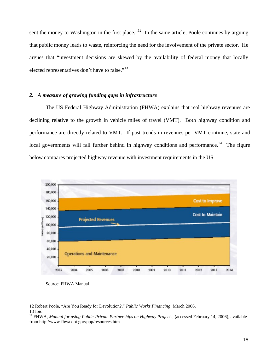sent the money to Washington in the first place."<sup>12</sup> In the same article, Poole continues by arguing that public money leads to waste, reinforcing the need for the involvement of the private sector. He argues that "investment decisions are skewed by the availability of federal money that locally elected representatives don't have to raise."<sup>13</sup>

#### *2. A measure of growing funding gaps in infrastructure*

The US Federal Highway Administration (FHWA) explains that real highway revenues are declining relative to the growth in vehicle miles of travel (VMT). Both highway condition and performance are directly related to VMT. If past trends in revenues per VMT continue, state and local governments will fall further behind in highway conditions and performance.<sup>14</sup> The figure below compares projected highway revenue with investment requirements in the US.



Source: FHWA Manual

<sup>12</sup> Robert Poole, "Are You Ready for Devolution?," *Public Works Financing*, March 2006.

<sup>13</sup> Ibid.

<sup>&</sup>lt;sup>14</sup> FHWA, *Manual for using Public-Private Partnerships on Highway Projects*, (accessed February 14, 2006); available from http://www.fhwa.dot.gov/ppp/resources.htm.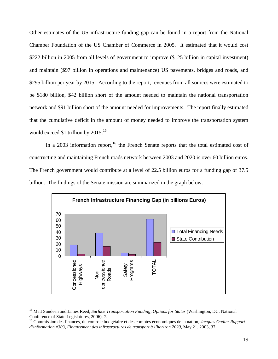Other estimates of the US infrastructure funding gap can be found in a report from the National Chamber Foundation of the US Chamber of Commerce in 2005. It estimated that it would cost \$222 billion in 2005 from all levels of government to improve (\$125 billion in capital investment) and maintain (\$97 billion in operations and maintenance) US pavements, bridges and roads, and \$295 billion per year by 2015. According to the report, revenues from all sources were estimated to be \$180 billion, \$42 billion short of the amount needed to maintain the national transportation network and \$91 billion short of the amount needed for improvements. The report finally estimated that the cumulative deficit in the amount of money needed to improve the transportation system would exceed \$1 trillion by 2015.<sup>15</sup>

In a 2003 information report,<sup>16</sup> the French Senate reports that the total estimated cost of constructing and maintaining French roads network between 2003 and 2020 is over 60 billion euros. The French government would contribute at a level of 22.5 billion euros for a funding gap of 37.5 billion. The findings of the Senate mission are summarized in the graph below.



<sup>15</sup> Matt Sundeen and James Reed, *Surface Transportation Funding, Options for States* (Washington, DC: National Conference of State Legislatures, 2006), 7.

<sup>16</sup> Commission des finances, du controle budgétaire et des comptes économiques de la nation, *Jacques Oudin: Rapport d'information #303, Financement des infrastructures de transport à l'horizon 2020*, May 21, 2003, 37.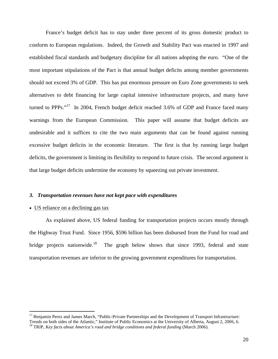France's budget deficit has to stay under three percent of its gross domestic product to conform to European regulations. Indeed, the Growth and Stability Pact was enacted in 1997 and established fiscal standards and budgetary discipline for all nations adopting the euro. "One of the most important stipulations of the Pact is that annual budget deficits among member governments should not exceed 3% of GDP. This has put enormous pressure on Euro Zone governments to seek alternatives to debt financing for large capital intensive infrastructure projects, and many have turned to PPPs."<sup>17</sup> In 2004, French budget deficit reached 3.6% of GDP and France faced many warnings from the European Commission. This paper will assume that budget deficits are undesirable and it suffices to cite the two main arguments that can be found against running excessive budget deficits in the economic literature. The first is that by running large budget deficits, the government is limiting its flexibility to respond to future crisis. The second argument is that large budget deficits undermine the economy by squeezing out private investment.

#### *3. Transportation revenues have not kept pace with expenditures*

## US reliance on a declining gas tax

 $\overline{a}$ 

As explained above, US federal funding for transportation projects occurs mostly through the Highway Trust Fund. Since 1956, \$596 billion has been disbursed from the Fund for road and bridge projects nationwide.<sup>18</sup> The graph below shows that since 1993, federal and state transportation revenues are inferior to the growing government expenditures for transportation.

<sup>&</sup>lt;sup>17</sup> Benjamin Perez and James March, "Public-Private Partnerships and the Development of Transport Infrastructure: Trends on both sides of the Atlantic," Institute of Public Economics at the University of Alberta, August 2, 2006, 6. 18 TRIP, *Key facts about America's road and bridge conditions and federal funding* (March 2006).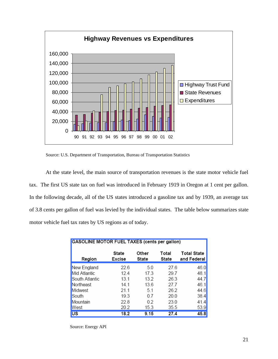

Source: U.S. Department of Transportation, Bureau of Transportation Statistics

At the state level, the main source of transportation revenues is the state motor vehicle fuel tax. The first US state tax on fuel was introduced in February 1919 in Oregon at 1 cent per gallon. In the following decade, all of the US states introduced a gasoline tax and by 1939, an average tax of 3.8 cents per gallon of fuel was levied by the individual states. The table below summarizes state motor vehicle fuel tax rates by US regions as of today.

| <b>GASOLINE MOTOR FUEL TAXES (cents per gallon)</b> |                 |                |                |                                   |  |  |  |
|-----------------------------------------------------|-----------------|----------------|----------------|-----------------------------------|--|--|--|
| Region                                              | State<br>Excise | Other<br>State | Total<br>State | <b>Total State</b><br>and Federal |  |  |  |
| New England                                         | 22.6            | 5.0            | 27.6           | 46.0                              |  |  |  |
| Mid Atlantic                                        | 124             | 17.3           | 29.7           | 48.1                              |  |  |  |
| South Atlantic                                      | 13.1            | 13.2           | 26.3           | 44.7                              |  |  |  |
| Northeast                                           | 14.1            | 13.6           | 27.7           | 46.1                              |  |  |  |
| Midwest                                             | 21.1            | 5.1            | 26.2           | 44.6                              |  |  |  |
| South                                               | 19.3            | 0.7            | 20.0           | 38.4                              |  |  |  |
| Mountain                                            | 22.8            | 0.2            | 23.0           | 41.4                              |  |  |  |
| <b>West</b>                                         | 20.2            | 15.3           | 35.5           | 53.9                              |  |  |  |
| <b>US</b>                                           | 18.2            | 9.15           | 27.4           | 45.8                              |  |  |  |

Source: Energy API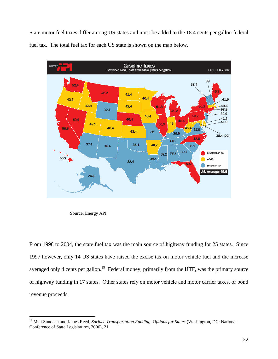State motor fuel taxes differ among US states and must be added to the 18.4 cents per gallon federal fuel tax. The total fuel tax for each US state is shown on the map below.



Source: Energy API

 $\overline{a}$ 

From 1998 to 2004, the state fuel tax was the main source of highway funding for 25 states. Since 1997 however, only 14 US states have raised the excise tax on motor vehicle fuel and the increase averaged only 4 cents per gallon.<sup>19</sup> Federal money, primarily from the HTF, was the primary source of highway funding in 17 states. Other states rely on motor vehicle and motor carrier taxes, or bond revenue proceeds.

<sup>&</sup>lt;sup>19</sup> Matt Sundeen and James Reed, *Surface Transportation Funding, Options for States* (Washington, DC: National Conference of State Legislatures, 2006), 21.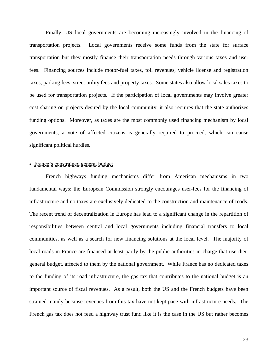Finally, US local governments are becoming increasingly involved in the financing of transportation projects. Local governments receive some funds from the state for surface transportation but they mostly finance their transportation needs through various taxes and user fees. Financing sources include motor-fuel taxes, toll revenues, vehicle license and registration taxes, parking fees, street utility fees and property taxes. Some states also allow local sales taxes to be used for transportation projects. If the participation of local governments may involve greater cost sharing on projects desired by the local community, it also requires that the state authorizes funding options. Moreover, as taxes are the most commonly used financing mechanism by local governments, a vote of affected citizens is generally required to proceed, which can cause significant political hurdles.

#### • France's constrained general budget

French highways funding mechanisms differ from American mechanisms in two fundamental ways: the European Commission strongly encourages user-fees for the financing of infrastructure and no taxes are exclusively dedicated to the construction and maintenance of roads. The recent trend of decentralization in Europe has lead to a significant change in the repartition of responsibilities between central and local governments including financial transfers to local communities, as well as a search for new financing solutions at the local level. The majority of local roads in France are financed at least partly by the public authorities in charge that use their general budget, affected to them by the national government. While France has no dedicated taxes to the funding of its road infrastructure, the gas tax that contributes to the national budget is an important source of fiscal revenues. As a result, both the US and the French budgets have been strained mainly because revenues from this tax have not kept pace with infrastructure needs. The French gas tax does not feed a highway trust fund like it is the case in the US but rather becomes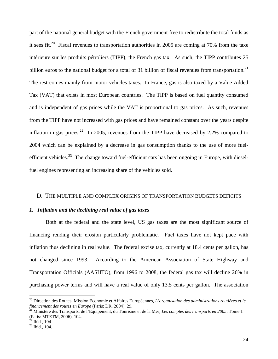part of the national general budget with the French government free to redistribute the total funds as it sees fit.<sup>20</sup> Fiscal revenues to transportation authorities in 2005 are coming at 70% from the taxe intérieure sur les produits pétroliers (TIPP), the French gas tax. As such, the TIPP contributes 25 billion euros to the national budget for a total of 31 billion of fiscal revenues from transportation.<sup>21</sup> The rest comes mainly from motor vehicles taxes. In France, gas is also taxed by a Value Added Tax (VAT) that exists in most European countries. The TIPP is based on fuel quantity consumed and is independent of gas prices while the VAT is proportional to gas prices. As such, revenues from the TIPP have not increased with gas prices and have remained constant over the years despite inflation in gas prices.<sup>22</sup> In 2005, revenues from the TIPP have decreased by 2.2% compared to 2004 which can be explained by a decrease in gas consumption thanks to the use of more fuelefficient vehicles.<sup>23</sup> The change toward fuel-efficient cars has been ongoing in Europe, with dieselfuel engines representing an increasing share of the vehicles sold.

#### D. THE MULTIPLE AND COMPLEX ORIGINS OF TRANSPORTATION BUDGETS DEFICITS

#### *1. Inflation and the declining real value of gas taxes*

Both at the federal and the state level, US gas taxes are the most significant source of financing rending their erosion particularly problematic. Fuel taxes have not kept pace with inflation thus declining in real value. The federal excise tax, currently at 18.4 cents per gallon, has not changed since 1993. According to the American Association of State Highway and Transportation Officials (AASHTO), from 1996 to 2008, the federal gas tax will decline 26% in purchasing power terms and will have a real value of only 13.5 cents per gallon. The association

<sup>20</sup> Direction des Routes, Mission Economie et Affaires Européennes, *L'organisation des administrations routières et le financement des routes en Europe* (Paris: DR, 2004), 29.<br><sup>21</sup> Ministère des Transports, de l'Equipement, du Tourisme et de la Mer, *Les comptes des transports en 2005*, Tome 1

<sup>(</sup>Paris: MTETM, 2006), 104.

 $^{22}$  Ibid., 104.

<sup>23</sup> Ibid., 104.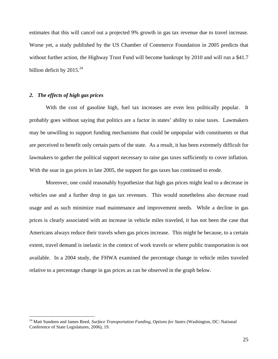estimates that this will cancel out a projected 9% growth in gas tax revenue due to travel increase. Worse yet, a study published by the US Chamber of Commerce Foundation in 2005 predicts that without further action, the Highway Trust Fund will become bankrupt by 2010 and will run a \$41.7 billion deficit by  $2015.<sup>24</sup>$ 

### *2. The effects of high gas prices*

 $\overline{a}$ 

With the cost of gasoline high, fuel tax increases are even less politically popular. It probably goes without saying that politics are a factor in states' ability to raise taxes. Lawmakers may be unwilling to support funding mechanisms that could be unpopular with constituents or that are perceived to benefit only certain parts of the state. As a result, it has been extremely difficult for lawmakers to gather the political support necessary to raise gas taxes sufficiently to cover inflation. With the soar in gas prices in late 2005, the support for gas taxes has continued to erode.

Moreover, one could reasonably hypothesize that high gas prices might lead to a decrease in vehicles use and a further drop in gas tax revenues. This would nonetheless also decrease road usage and as such minimize road maintenance and improvement needs. While a decline in gas prices is clearly associated with an increase in vehicle miles traveled, it has not been the case that Americans always reduce their travels when gas prices increase. This might be because, to a certain extent, travel demand is inelastic in the context of work travels or where public transportation is not available. In a 2004 study, the FHWA examined the percentage change in vehicle miles traveled relative to a percentage change in gas prices as can be observed in the graph below.

<sup>24</sup> Matt Sundeen and James Reed, *Surface Transportation Funding, Options for States* (Washington, DC: National Conference of State Legislatures, 2006), 19.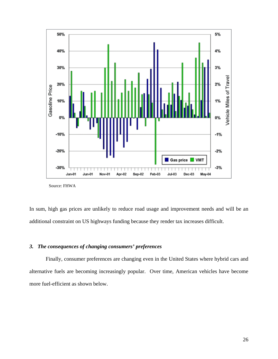

Source: FHWA

In sum, high gas prices are unlikely to reduce road usage and improvement needs and will be an additional constraint on US highways funding because they render tax increases difficult.

#### *3. The consequences of changing consumers' preferences*

Finally, consumer preferences are changing even in the United States where hybrid cars and alternative fuels are becoming increasingly popular. Over time, American vehicles have become more fuel-efficient as shown below.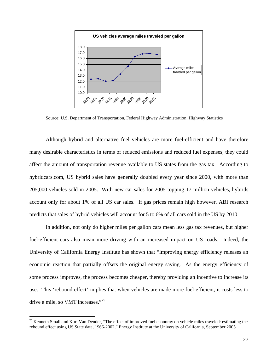

Source: U.S. Department of Transportation, Federal Highway Administration, Highway Statistics

Although hybrid and alternative fuel vehicles are more fuel-efficient and have therefore many desirable characteristics in terms of reduced emissions and reduced fuel expenses, they could affect the amount of transportation revenue available to US states from the gas tax. According to hybridcars.com, US hybrid sales have generally doubled every year since 2000, with more than 205,000 vehicles sold in 2005. With new car sales for 2005 topping 17 million vehicles, hybrids account only for about 1% of all US car sales. If gas prices remain high however, ABI research predicts that sales of hybrid vehicles will account for 5 to 6% of all cars sold in the US by 2010.

In addition, not only do higher miles per gallon cars mean less gas tax revenues, but higher fuel-efficient cars also mean more driving with an increased impact on US roads. Indeed, the University of California Energy Institute has shown that "improving energy efficiency releases an economic reaction that partially offsets the original energy saving. As the energy efficiency of some process improves, the process becomes cheaper, thereby providing an incentive to increase its use. This 'rebound effect' implies that when vehicles are made more fuel-efficient, it costs less to drive a mile, so VMT increases."<sup>25</sup>

<sup>&</sup>lt;sup>25</sup> Kenneth Small and Kurt Van Dender, "The effect of improved fuel economy on vehicle miles traveled: estimating the rebound effect using US State data, 1966-2002," Energy Institute at the University of California, September 2005.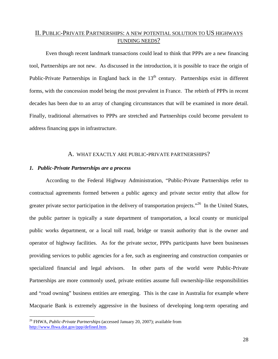## II. PUBLIC-PRIVATE PARTNERSHIPS: A NEW POTENTIAL SOLUTION TO US HIGHWAYS FUNDING NEEDS?

Even though recent landmark transactions could lead to think that PPPs are a new financing tool, Partnerships are not new. As discussed in the introduction, it is possible to trace the origin of Public-Private Partnerships in England back in the  $13<sup>th</sup>$  century. Partnerships exist in different forms, with the concession model being the most prevalent in France. The rebirth of PPPs in recent decades has been due to an array of changing circumstances that will be examined in more detail. Finally, traditional alternatives to PPPs are stretched and Partnerships could become prevalent to address financing gaps in infrastructure.

#### A. WHAT EXACTLY ARE PUBLIC-PRIVATE PARTNERSHIPS?

#### *1. Public-Private Partnerships are a process*

According to the Federal Highway Administration, "Public-Private Partnerships refer to contractual agreements formed between a public agency and private sector entity that allow for greater private sector participation in the delivery of transportation projects."<sup>26</sup> In the United States, the public partner is typically a state department of transportation, a local county or municipal public works department, or a local toll road, bridge or transit authority that is the owner and operator of highway facilities. As for the private sector, PPPs participants have been businesses providing services to public agencies for a fee, such as engineering and construction companies or specialized financial and legal advisors. In other parts of the world were Public-Private Partnerships are more commonly used, private entities assume full ownership-like responsibilities and "road owning" business entities are emerging. This is the case in Australia for example where Macquarie Bank is extremely aggressive in the business of developing long-term operating and

<sup>26</sup> FHWA, *Public-Private Partnerships* (accessed January 20, 2007); available from http://www.fhwa.dot.gov/ppp/defined.htm.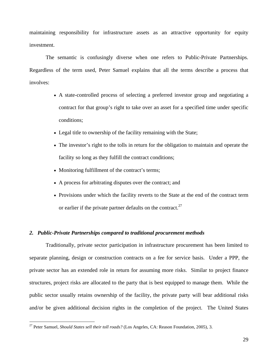maintaining responsibility for infrastructure assets as an attractive opportunity for equity investment.

The semantic is confusingly diverse when one refers to Public-Private Partnerships. Regardless of the term used, Peter Samuel explains that all the terms describe a process that involves:

- A state-controlled process of selecting a preferred investor group and negotiating a contract for that group's right to take over an asset for a specified time under specific conditions;
- Legal title to ownership of the facility remaining with the State;
- The investor's right to the tolls in return for the obligation to maintain and operate the facility so long as they fulfill the contract conditions;
- Monitoring fulfillment of the contract's terms;
- A process for arbitrating disputes over the contract; and
- Provisions under which the facility reverts to the State at the end of the contract term or earlier if the private partner defaults on the contract. $27$

#### *2. Public-Private Partnerships compared to traditional procurement methods*

Traditionally, private sector participation in infrastructure procurement has been limited to separate planning, design or construction contracts on a fee for service basis. Under a PPP, the private sector has an extended role in return for assuming more risks. Similar to project finance structures, project risks are allocated to the party that is best equipped to manage them. While the public sector usually retains ownership of the facility, the private party will bear additional risks and/or be given additional decision rights in the completion of the project. The United States

<sup>27</sup> Peter Samuel, *Should States sell their toll roads?* (Los Angeles, CA: Reason Foundation, 2005), 3.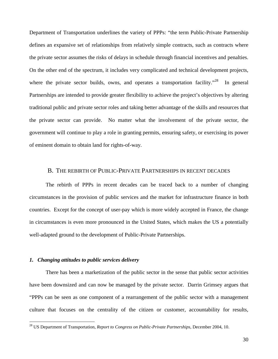Department of Transportation underlines the variety of PPPs: "the term Public-Private Partnership defines an expansive set of relationships from relatively simple contracts, such as contracts where the private sector assumes the risks of delays in schedule through financial incentives and penalties. On the other end of the spectrum, it includes very complicated and technical development projects, where the private sector builds, owns, and operates a transportation facility.<sup> $28$ </sup> In general Partnerships are intended to provide greater flexibility to achieve the project's objectives by altering traditional public and private sector roles and taking better advantage of the skills and resources that the private sector can provide. No matter what the involvement of the private sector, the government will continue to play a role in granting permits, ensuring safety, or exercising its power of eminent domain to obtain land for rights-of-way.

## B. THE REBIRTH OF PUBLIC-PRIVATE PARTNERSHIPS IN RECENT DECADES

The rebirth of PPPs in recent decades can be traced back to a number of changing circumstances in the provision of public services and the market for infrastructure finance in both countries. Except for the concept of user-pay which is more widely accepted in France, the change in circumstances is even more pronounced in the United States, which makes the US a potentially well-adapted ground to the development of Public-Private Partnerships.

#### *1. Changing attitudes to public services delivery*

 $\overline{a}$ 

There has been a marketization of the public sector in the sense that public sector activities have been downsized and can now be managed by the private sector. Darrin Grimsey argues that "PPPs can be seen as one component of a rearrangement of the public sector with a management culture that focuses on the centrality of the citizen or customer, accountability for results,

<sup>28</sup> US Department of Transportation, *Report to Congress on Public-Private Partnerships*, December 2004, 10.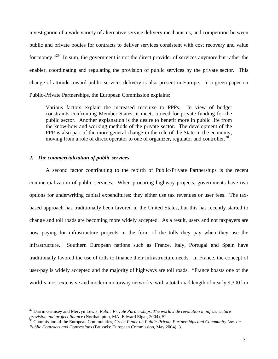investigation of a wide variety of alternative service delivery mechanisms, and competition between public and private bodies for contracts to deliver services consistent with cost recovery and value for money."<sup>29</sup> In sum, the government is not the direct provider of services anymore but rather the enabler, coordinating and regulating the provision of public services by the private sector. This change of attitude toward public services delivery is also present in Europe. In a green paper on Public-Private Partnerships, the European Commission explains:

Various factors explain the increased recourse to PPPs. In view of budget constraints confronting Member States, it meets a need for private funding for the public sector. Another explanation is the desire to benefit more in public life from the know-how and working methods of the private sector. The development of the PPP is also part of the more general change in the role of the State in the economy, moving from a role of direct operator to one of organizer, regulator and controller.<sup>30</sup>

#### *2. The commercialization of public services*

 $\overline{a}$ 

A second factor contributing to the rebirth of Public-Private Partnerships is the recent commercialization of public services. When procuring highway projects, governments have two options for underwriting capital expenditures: they either use tax revenues or user fees. The taxbased approach has traditionally been favored in the United States, but this has recently started to change and toll roads are becoming more widely accepted. As a result, users and not taxpayers are now paying for infrastructure projects in the form of the tolls they pay when they use the infrastructure. Southern European nations such as France, Italy, Portugal and Spain have traditionally favored the use of tolls to finance their infrastructure needs. In France, the concept of user-pay is widely accepted and the majority of highways are toll roads. "France boasts one of the world's most extensive and modern motorway networks, with a total road length of nearly 9,300 km

<sup>&</sup>lt;sup>29</sup> Darrin Grimsey and Mervyn Lewis, *Public Private Partnerships*, *The worldwide revolution in infrastructure provision and project finance* (Northampton, MA: Edward Elgar, 2004), 52.

<sup>&</sup>lt;sup>30</sup> Commission of the European Communities, *Green Paper on Public-Private Partnerships and Community Law on Public Contracts and Concessions* (Brussels: European Commission, May 2004), 3.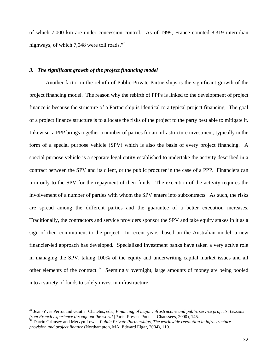of which 7,000 km are under concession control. As of 1999, France counted 8,319 interurban highways, of which 7,048 were toll roads."<sup>31</sup>

#### *3. The significant growth of the project financing model*

Another factor in the rebirth of Public-Private Partnerships is the significant growth of the project financing model. The reason why the rebirth of PPPs is linked to the development of project finance is because the structure of a Partnership is identical to a typical project financing. The goal of a project finance structure is to allocate the risks of the project to the party best able to mitigate it. Likewise, a PPP brings together a number of parties for an infrastructure investment, typically in the form of a special purpose vehicle (SPV) which is also the basis of every project financing. A special purpose vehicle is a separate legal entity established to undertake the activity described in a contract between the SPV and its client, or the public procurer in the case of a PPP. Financiers can turn only to the SPV for the repayment of their funds. The execution of the activity requires the involvement of a number of parties with whom the SPV enters into subcontracts. As such, the risks are spread among the different parties and the guarantee of a better execution increases. Traditionally, the contractors and service providers sponsor the SPV and take equity stakes in it as a sign of their commitment to the project. In recent years, based on the Australian model, a new financier-led approach has developed. Specialized investment banks have taken a very active role in managing the SPV, taking 100% of the equity and underwriting capital market issues and all other elements of the contract.<sup>32</sup> Seemingly overnight, large amounts of money are being pooled into a variety of funds to solely invest in infrastructure.

<sup>31</sup> Jean-Yves Perrot and Gautier Chatelus, eds., *Financing of major infrastructure and public service projects, Lessons from French experience throughout the world* (Paris: Presses Ponts et Chaussées, 2000), 145.<br><sup>32</sup> Darrin Grimsey and Mervyn Lewis, *Public Private Partnerships, The worldwide revolution in infrastructure* 

*provision and project finance* (Northampton, MA: Edward Elgar, 2004), 110.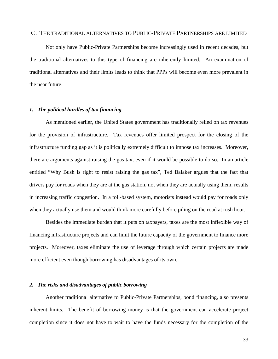## C. THE TRADITIONAL ALTERNATIVES TO PUBLIC-PRIVATE PARTNERSHIPS ARE LIMITED

Not only have Public-Private Partnerships become increasingly used in recent decades, but the traditional alternatives to this type of financing are inherently limited. An examination of traditional alternatives and their limits leads to think that PPPs will become even more prevalent in the near future.

## *1. The political hurdles of tax financing*

As mentioned earlier, the United States government has traditionally relied on tax revenues for the provision of infrastructure. Tax revenues offer limited prospect for the closing of the infrastructure funding gap as it is politically extremely difficult to impose tax increases. Moreover, there are arguments against raising the gas tax, even if it would be possible to do so. In an article entitled "Why Bush is right to resist raising the gas tax", Ted Balaker argues that the fact that drivers pay for roads when they are at the gas station, not when they are actually using them, results in increasing traffic congestion. In a toll-based system, motorists instead would pay for roads only when they actually use them and would think more carefully before piling on the road at rush hour.

Besides the immediate burden that it puts on taxpayers, taxes are the most inflexible way of financing infrastructure projects and can limit the future capacity of the government to finance more projects. Moreover, taxes eliminate the use of leverage through which certain projects are made more efficient even though borrowing has disadvantages of its own.

#### *2. The risks and disadvantages of public borrowing*

Another traditional alternative to Public-Private Partnerships, bond financing, also presents inherent limits. The benefit of borrowing money is that the government can accelerate project completion since it does not have to wait to have the funds necessary for the completion of the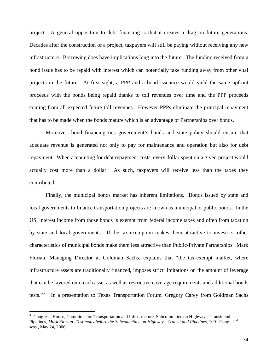project. A general opposition to debt financing is that it creates a drag on future generations. Decades after the construction of a project, taxpayers will still be paying without receiving any new infrastructure. Borrowing does have implications long into the future. The funding received from a bond issue has to be repaid with interest which can potentially take funding away from other vital projects in the future. At first sight, a PPP and a bond issuance would yield the same upfront proceeds with the bonds being repaid thanks to toll revenues over time and the PPP proceeds coming from all expected future toll revenues. However PPPs eliminate the principal repayment that has to be made when the bonds mature which is an advantage of Partnerships over bonds.

Moreover, bond financing ties government's hands and state policy should ensure that adequate revenue is generated not only to pay for maintenance and operation but also for debt repayment. When accounting for debt repayment costs, every dollar spent on a given project would actually cost more than a dollar. As such, taxpayers will receive less than the taxes they contributed.

Finally, the municipal bonds market has inherent limitations. Bonds issued by state and local governments to finance transportation projects are known as municipal or public bonds. In the US, interest income from those bonds is exempt from federal income taxes and often from taxation by state and local governments. If the tax-exemption makes them attractive to investors, other characteristics of municipal bonds make them less attractive than Public-Private Partnerships. Mark Florian, Managing Director at Goldman Sachs, explains that "the tax-exempt market, where infrastructure assets are traditionally financed, imposes strict limitations on the amount of leverage that can be layered onto each asset as well as restrictive coverage requirements and additional bonds tests."<sup>33</sup> In a presentation to Texas Transportation Forum, Gregory Carey from Goldman Sachs

<sup>&</sup>lt;sup>33</sup> Congress, House, Committee on Transportation and Infrastructure, Subcommittee on Highways, Transit and Pipelines, *Mark Florian: Testimony before the Subcommittee on Highways, Transit and Pipelines*, 109<sup>th</sup> Cong., 2<sup>nd</sup> sess., May 24, 2006.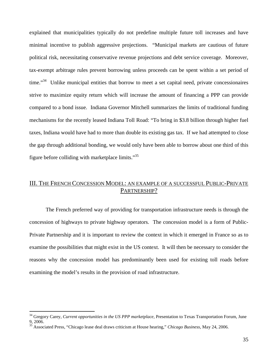explained that municipalities typically do not predefine multiple future toll increases and have minimal incentive to publish aggressive projections. "Municipal markets are cautious of future political risk, necessitating conservative revenue projections and debt service coverage. Moreover, tax-exempt arbitrage rules prevent borrowing unless proceeds can be spent within a set period of time."<sup>34</sup> Unlike municipal entities that borrow to meet a set capital need, private concessionaires strive to maximize equity return which will increase the amount of financing a PPP can provide compared to a bond issue. Indiana Governor Mitchell summarizes the limits of traditional funding mechanisms for the recently leased Indiana Toll Road: "To bring in \$3.8 billion through higher fuel taxes, Indiana would have had to more than double its existing gas tax. If we had attempted to close the gap through additional bonding, we would only have been able to borrow about one third of this figure before colliding with marketplace limits. $\cdot^{35}$ 

## III. THE FRENCH CONCESSION MODEL: AN EXAMPLE OF A SUCCESSFUL PUBLIC-PRIVATE PARTNERSHIP?

The French preferred way of providing for transportation infrastructure needs is through the concession of highways to private highway operators. The concession model is a form of Public-Private Partnership and it is important to review the context in which it emerged in France so as to examine the possibilities that might exist in the US context. It will then be necessary to consider the reasons why the concession model has predominantly been used for existing toll roads before examining the model's results in the provision of road infrastructure.

<sup>34</sup> Gregory Carey, *Current opportunities in the US PPP marketplace*, Presentation to Texas Transportation Forum, June 9, 2006.

<sup>35</sup> Associated Press, "Chicago lease deal draws criticism at House hearing," *Chicago Business*, May 24, 2006.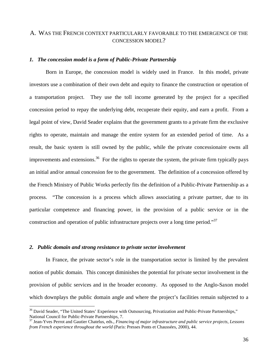# A. WAS THE FRENCH CONTEXT PARTICULARLY FAVORABLE TO THE EMERGENCE OF THE CONCESSION MODEL?

### *1. The concession model is a form of Public-Private Partnership*

Born in Europe, the concession model is widely used in France. In this model, private investors use a combination of their own debt and equity to finance the construction or operation of a transportation project. They use the toll income generated by the project for a specified concession period to repay the underlying debt, recuperate their equity, and earn a profit. From a legal point of view, David Seader explains that the government grants to a private firm the exclusive rights to operate, maintain and manage the entire system for an extended period of time. As a result, the basic system is still owned by the public, while the private concessionaire owns all improvements and extensions.<sup>36</sup> For the rights to operate the system, the private firm typically pays an initial and/or annual concession fee to the government. The definition of a concession offered by the French Ministry of Public Works perfectly fits the definition of a Public-Private Partnership as a process. "The concession is a process which allows associating a private partner, due to its particular competence and financing power, in the provision of a public service or in the construction and operation of public infrastructure projects over a long time period."<sup>37</sup>

### *2. Public domain and strong resistance to private sector involvement*

 $\overline{a}$ 

In France, the private sector's role in the transportation sector is limited by the prevalent notion of public domain. This concept diminishes the potential for private sector involvement in the provision of public services and in the broader economy. As opposed to the Anglo-Saxon model which downplays the public domain angle and where the project's facilities remain subjected to a

<sup>&</sup>lt;sup>36</sup> David Seader, "The United States' Experience with Outsourcing, Privatization and Public-Private Partnerships," National Council for Public-Private Partnerships, 7.

<sup>37</sup> Jean-Yves Perrot and Gautier Chatelus, eds., *Financing of major infrastructure and public service projects, Lessons from French experience throughout the world* (Paris: Presses Ponts et Chaussées, 2000), 44.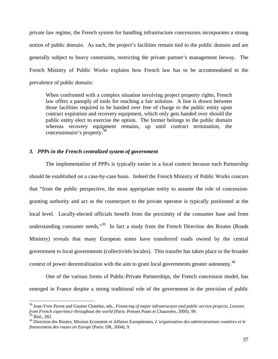private law regime, the French system for handling infrastructure concessions incorporates a strong notion of public domain. As such, the project's facilities remain tied to the public domain and are generally subject to heavy constraints, restricting the private partner's management leeway. The French Ministry of Public Works explains how French law has to be accommodated to the prevalence of public domain:

When confronted with a complex situation involving project property rights, French law offers a panoply of tools for reaching a fair solution. A line is drawn between those facilities required to be handed over free of charge to the public entity upon contract expiration and recovery equipment, which only gets handed over should the public entity elect to exercise the option. The former belongs to the public domain whereas recovery equipment remains, up until contract termination, the concessionaire's property.<sup>38</sup>

#### *3. PPPs in the French centralized system of government*

The implementation of PPPs is typically easier in a local context because each Partnership should be established on a case-by-case basis. Indeed the French Ministry of Public Works concurs that "from the public perspective, the most appropriate entity to assume the role of concessiongranting authority and act as the counterpart to the private operator is typically positioned at the local level. Locally-elected officials benefit from the proximity of the consumer base and from understanding consumer needs."<sup>39</sup> In fact a study from the French Direction des Routes (Roads Ministry) reveals that many European states have transferred roads owned by the central government to local governments (collectivités locales). This transfer has taken place in the broader context of power decentralization with the aim to grant local governments greater autonomy.<sup>40</sup>

One of the various forms of Public-Private Partnerships, the French concession model, has emerged in France despite a strong traditional role of the government in the provision of public

<sup>38</sup> Jean-Yves Perrot and Gautier Chatelus, eds., *Financing of major infrastructure and public service projects, Lessons from French experience throughout the world* (Paris: Presses Ponts et Chaussées, 2000), 99.

<sup>&</sup>lt;sup>39</sup> Ibid., 282.

<sup>40</sup> Direction des Routes, Mission Economie et Affaires Européennes, *L'organisation des administrations routières et le financement des routes en Europe* (Paris: DR, 2004), 9.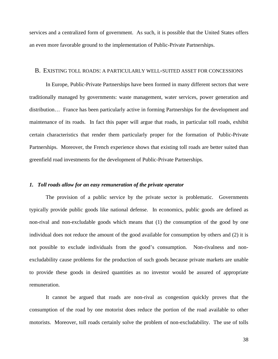services and a centralized form of government. As such, it is possible that the United States offers an even more favorable ground to the implementation of Public-Private Partnerships.

#### B. EXISTING TOLL ROADS: A PARTICULARLY WELL-SUITED ASSET FOR CONCESSIONS

In Europe, Public-Private Partnerships have been formed in many different sectors that were traditionally managed by governments: waste management, water services, power generation and distribution… France has been particularly active in forming Partnerships for the development and maintenance of its roads. In fact this paper will argue that roads, in particular toll roads, exhibit certain characteristics that render them particularly proper for the formation of Public-Private Partnerships. Moreover, the French experience shows that existing toll roads are better suited than greenfield road investments for the development of Public-Private Partnerships.

### *1. Toll roads allow for an easy remuneration of the private operator*

The provision of a public service by the private sector is problematic. Governments typically provide public goods like national defense. In economics, public goods are defined as non-rival and non-excludable goods which means that (1) the consumption of the good by one individual does not reduce the amount of the good available for consumption by others and (2) it is not possible to exclude individuals from the good's consumption. Non-rivalness and nonexcludability cause problems for the production of such goods because private markets are unable to provide these goods in desired quantities as no investor would be assured of appropriate remuneration.

It cannot be argued that roads are non-rival as congestion quickly proves that the consumption of the road by one motorist does reduce the portion of the road available to other motorists. Moreover, toll roads certainly solve the problem of non-excludability. The use of tolls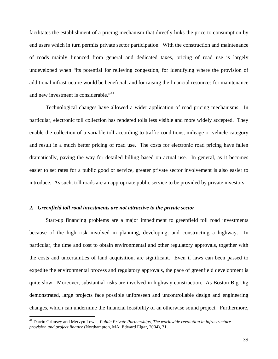facilitates the establishment of a pricing mechanism that directly links the price to consumption by end users which in turn permits private sector participation. With the construction and maintenance of roads mainly financed from general and dedicated taxes, pricing of road use is largely undeveloped when "its potential for relieving congestion, for identifying where the provision of additional infrastructure would be beneficial, and for raising the financial resources for maintenance and new investment is considerable."<sup>41</sup>

Technological changes have allowed a wider application of road pricing mechanisms. In particular, electronic toll collection has rendered tolls less visible and more widely accepted. They enable the collection of a variable toll according to traffic conditions, mileage or vehicle category and result in a much better pricing of road use. The costs for electronic road pricing have fallen dramatically, paving the way for detailed billing based on actual use. In general, as it becomes easier to set rates for a public good or service, greater private sector involvement is also easier to introduce. As such, toll roads are an appropriate public service to be provided by private investors.

#### *2. Greenfield toll road investments are not attractive to the private sector*

Start-up financing problems are a major impediment to greenfield toll road investments because of the high risk involved in planning, developing, and constructing a highway. In particular, the time and cost to obtain environmental and other regulatory approvals, together with the costs and uncertainties of land acquisition, are significant. Even if laws can been passed to expedite the environmental process and regulatory approvals, the pace of greenfield development is quite slow. Moreover, substantial risks are involved in highway construction. As Boston Big Dig demonstrated, large projects face possible unforeseen and uncontrollable design and engineering changes, which can undermine the financial feasibility of an otherwise sound project. Furthermore,

<sup>41</sup> Darrin Grimsey and Mervyn Lewis, *Public Private Partnerships, The worldwide revolution in infrastructure provision and project finance* (Northampton, MA: Edward Elgar, 2004), 31.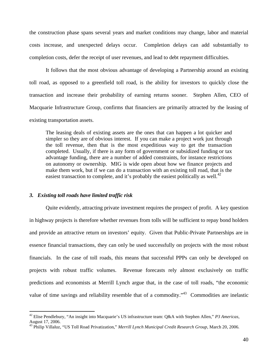the construction phase spans several years and market conditions may change, labor and material costs increase, and unexpected delays occur. Completion delays can add substantially to completion costs, defer the receipt of user revenues, and lead to debt repayment difficulties.

It follows that the most obvious advantage of developing a Partnership around an existing toll road, as opposed to a greenfield toll road, is the ability for investors to quickly close the transaction and increase their probability of earning returns sooner. Stephen Allen, CEO of Macquarie Infrastructure Group, confirms that financiers are primarily attracted by the leasing of existing transportation assets.

The leasing deals of existing assets are the ones that can happen a lot quicker and simpler so they are of obvious interest. If you can make a project work just through the toll revenue, then that is the most expeditious way to get the transaction completed. Usually, if there is any form of government or subsidized funding or tax advantage funding, there are a number of added constraints, for instance restrictions on autonomy or ownership. MIG is wide open about how we finance projects and make them work, but if we can do a transaction with an existing toll road, that is the easiest transaction to complete, and it's probably the easiest politically as well.<sup>42</sup>

#### *3. Existing toll roads have limited traffic risk*

 $\overline{a}$ 

Quite evidently, attracting private investment requires the prospect of profit. A key question in highway projects is therefore whether revenues from tolls will be sufficient to repay bond holders and provide an attractive return on investors' equity. Given that Public-Private Partnerships are in essence financial transactions, they can only be used successfully on projects with the most robust financials. In the case of toll roads, this means that successful PPPs can only be developed on projects with robust traffic volumes. Revenue forecasts rely almost exclusively on traffic predictions and economists at Merrill Lynch argue that, in the case of toll roads, "the economic value of time savings and reliability resemble that of a commodity."<sup>43</sup> Commodities are inelastic

<sup>42</sup> Elise Pendlebury, "An insight into Macquarie's US infrastructure team: Q&A with Stephen Allen," *P3 Americas*, August 17, 2006.

<sup>43</sup> Philip Villaluz, "US Toll Road Privatization," *Merrill Lynch Municipal Credit Research Group*, March 20, 2006.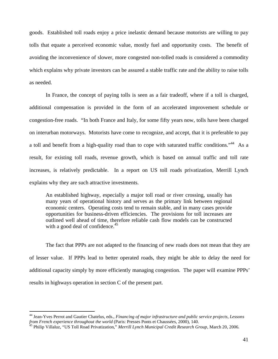goods. Established toll roads enjoy a price inelastic demand because motorists are willing to pay tolls that equate a perceived economic value, mostly fuel and opportunity costs. The benefit of avoiding the inconvenience of slower, more congested non-tolled roads is considered a commodity which explains why private investors can be assured a stable traffic rate and the ability to raise tolls as needed.

In France, the concept of paying tolls is seen as a fair tradeoff, where if a toll is charged, additional compensation is provided in the form of an accelerated improvement schedule or congestion-free roads. "In both France and Italy, for some fifty years now, tolls have been charged on interurban motorways. Motorists have come to recognize, and accept, that it is preferable to pay a toll and benefit from a high-quality road than to cope with saturated traffic conditions.<sup>"44</sup> As a result, for existing toll roads, revenue growth, which is based on annual traffic and toll rate increases, is relatively predictable. In a report on US toll roads privatization, Merrill Lynch explains why they are such attractive investments.

An established highway, especially a major toll road or river crossing, usually has many years of operational history and serves as the primary link between regional economic centers. Operating costs tend to remain stable, and in many cases provide opportunities for business-driven efficiencies. The provisions for toll increases are outlined well ahead of time, therefore reliable cash flow models can be constructed with a good deal of confidence.<sup>45</sup>

The fact that PPPs are not adapted to the financing of new roads does not mean that they are of lesser value. If PPPs lead to better operated roads, they might be able to delay the need for additional capacity simply by more efficiently managing congestion. The paper will examine PPPs' results in highways operation in section C of the present part.

<sup>44</sup> Jean-Yves Perrot and Gautier Chatelus, eds., *Financing of major infrastructure and public service projects, Lessons from French experience throughout the world* (Paris: Presses Ponts et Chaussées, 2000), 140.<br><sup>45</sup> Philip Villaluz, "US Toll Road Privatization," *Merrill Lynch Municipal Credit Research Group*, March 20, 2006.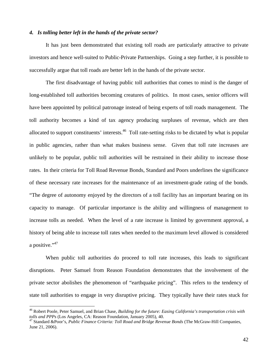## *4. Is tolling better left in the hands of the private sector?*

It has just been demonstrated that existing toll roads are particularly attractive to private investors and hence well-suited to Public-Private Partnerships. Going a step further, it is possible to successfully argue that toll roads are better left in the hands of the private sector.

The first disadvantage of having public toll authorities that comes to mind is the danger of long-established toll authorities becoming creatures of politics. In most cases, senior officers will have been appointed by political patronage instead of being experts of toll roads management. The toll authority becomes a kind of tax agency producing surpluses of revenue, which are then allocated to support constituents' interests.<sup>46</sup> Toll rate-setting risks to be dictated by what is popular in public agencies, rather than what makes business sense. Given that toll rate increases are unlikely to be popular, public toll authorities will be restrained in their ability to increase those rates. In their criteria for Toll Road Revenue Bonds, Standard and Poors underlines the significance of these necessary rate increases for the maintenance of an investment-grade rating of the bonds. "The degree of autonomy enjoyed by the directors of a toll facility has an important bearing on its capacity to manage. Of particular importance is the ability and willingness of management to increase tolls as needed. When the level of a rate increase is limited by government approval, a history of being able to increase toll rates when needed to the maximum level allowed is considered a positive." $47$ 

When public toll authorities do proceed to toll rate increases, this leads to significant disruptions. Peter Samuel from Reason Foundation demonstrates that the involvement of the private sector abolishes the phenomenon of "earthquake pricing". This refers to the tendency of state toll authorities to engage in very disruptive pricing. They typically have their rates stuck for

<sup>46</sup> Robert Poole, Peter Samuel, and Brian Chase, *Building for the future: Easing California's transportation crisis with tolls and PPPs* (Los Angeles, CA: Reason Foundation, January 2005), 40.<br><sup>47</sup> Standard &Poor's, *Public Finance Criteria: Toll Road and Bridge Revenue Bonds* (The McGraw-Hill Companies,

June 21, 2006).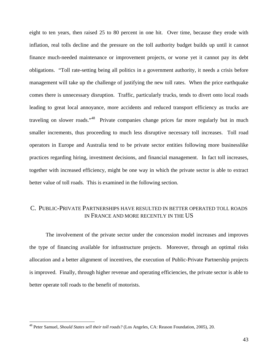eight to ten years, then raised 25 to 80 percent in one hit. Over time, because they erode with inflation, real tolls decline and the pressure on the toll authority budget builds up until it cannot finance much-needed maintenance or improvement projects, or worse yet it cannot pay its debt obligations. "Toll rate-setting being all politics in a government authority, it needs a crisis before management will take up the challenge of justifying the new toll rates. When the price earthquake comes there is unnecessary disruption. Traffic, particularly trucks, tends to divert onto local roads leading to great local annoyance, more accidents and reduced transport efficiency as trucks are traveling on slower roads."<sup>48</sup> Private companies change prices far more regularly but in much smaller increments, thus proceeding to much less disruptive necessary toll increases. Toll road operators in Europe and Australia tend to be private sector entities following more businesslike practices regarding hiring, investment decisions, and financial management. In fact toll increases, together with increased efficiency, might be one way in which the private sector is able to extract better value of toll roads. This is examined in the following section.

## C. PUBLIC-PRIVATE PARTNERSHIPS HAVE RESULTED IN BETTER OPERATED TOLL ROADS IN FRANCE AND MORE RECENTLY IN THE US

The involvement of the private sector under the concession model increases and improves the type of financing available for infrastructure projects. Moreover, through an optimal risks allocation and a better alignment of incentives, the execution of Public-Private Partnership projects is improved. Finally, through higher revenue and operating efficiencies, the private sector is able to better operate toll roads to the benefit of motorists.

<sup>48</sup> Peter Samuel, *Should States sell their toll roads?* (Los Angeles, CA: Reason Foundation, 2005), 20.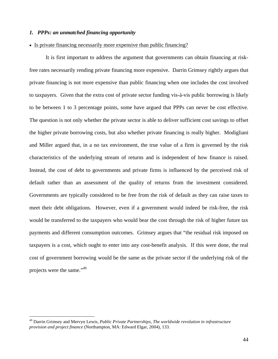## *1. PPPs: an unmatched financing opportunity*

## Is private financing necessarily more expensive than public financing?

It is first important to address the argument that governments can obtain financing at riskfree rates necessarily rending private financing more expensive. Darrin Grimsey rightly argues that private financing is not more expensive than public financing when one includes the cost involved to taxpayers. Given that the extra cost of private sector funding vis-à-vis public borrowing is likely to be between 1 to 3 percentage points, some have argued that PPPs can never be cost effective. The question is not only whether the private sector is able to deliver sufficient cost savings to offset the higher private borrowing costs, but also whether private financing is really higher. Modigliani and Miller argued that, in a no tax environment, the true value of a firm is governed by the risk characteristics of the underlying stream of returns and is independent of how finance is raised. Instead, the cost of debt to governments and private firms is influenced by the perceived risk of default rather than an assessment of the quality of returns from the investment considered. Governments are typically considered to be free from the risk of default as they can raise taxes to meet their debt obligations. However, even if a government would indeed be risk-free, the risk would be transferred to the taxpayers who would bear the cost through the risk of higher future tax payments and different consumption outcomes. Grimsey argues that "the residual risk imposed on taxpayers is a cost, which ought to enter into any cost-benefit analysis. If this were done, the real cost of government borrowing would be the same as the private sector if the underlying risk of the projects were the same."49

<sup>49</sup> Darrin Grimsey and Mervyn Lewis, *Public Private Partnerships, The worldwide revolution in infrastructure provision and project finance* (Northampton, MA: Edward Elgar, 2004), 133.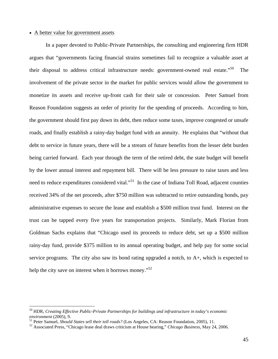## • A better value for government assets

In a paper devoted to Public-Private Partnerships, the consulting and engineering firm HDR argues that "governments facing financial strains sometimes fail to recognize a valuable asset at their disposal to address critical infrastructure needs: government-owned real estate.<sup>50</sup> The involvement of the private sector in the market for public services would allow the government to monetize its assets and receive up-front cash for their sale or concession. Peter Samuel from Reason Foundation suggests an order of priority for the spending of proceeds. According to him, the government should first pay down its debt, then reduce some taxes, improve congested or unsafe roads, and finally establish a rainy-day budget fund with an annuity. He explains that "without that debt to service in future years, there will be a stream of future benefits from the lesser debt burden being carried forward. Each year through the term of the retired debt, the state budget will benefit by the lower annual interest and repayment bill. There will be less pressure to raise taxes and less need to reduce expenditures considered vital."<sup>51</sup> In the case of Indiana Toll Road, adjacent counties received 34% of the net proceeds, after \$750 million was subtracted to retire outstanding bonds, pay administrative expenses to secure the lease and establish a \$500 million trust fund. Interest on the trust can be tapped every five years for transportation projects. Similarly, Mark Florian from Goldman Sachs explains that "Chicago used its proceeds to reduce debt, set up a \$500 million rainy-day fund, provide \$375 million to its annual operating budget, and help pay for some social service programs. The city also saw its bond rating upgraded a notch, to A+, which is expected to help the city save on interest when it borrows money."<sup>52</sup>

<sup>50</sup> HDR, *Creating Effective Public-Private Partnerships for buildings and infrastructure in today's economic*  environment (2005), 9.<br><sup>51</sup> Peter Samuel, *Should States sell their toll roads?* (Los Angeles, CA: Reason Foundation, 2005), 11.<br><sup>52</sup> Associated Press, "Chicago lease deal draws criticism at House hearing," *Chicago Busine*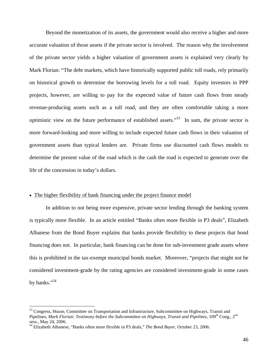Beyond the monetization of its assets, the government would also receive a higher and more accurate valuation of those assets if the private sector is involved. The reason why the involvement of the private sector yields a higher valuation of government assets is explained very clearly by Mark Florian: "The debt markets, which have historically supported public toll roads, rely primarily on historical growth to determine the borrowing levels for a toll road. Equity investors in PPP projects, however, are willing to pay for the expected value of future cash flows from steady revenue-producing assets such as a toll road, and they are often comfortable taking a more optimistic view on the future performance of established assets."<sup>53</sup> In sum, the private sector is more forward-looking and more willing to include expected future cash flows in their valuation of government assets than typical lenders are. Private firms use discounted cash flows models to determine the present value of the road which is the cash the road is expected to generate over the life of the concession in today's dollars.

## The higher flexibility of bank financing under the project finance model

In addition to not being more expensive, private sector lending through the banking system is typically more flexible. In an article entitled "Banks often more flexible in P3 deals", Elizabeth Albanese from the Bond Buyer explains that banks provide flexibility to these projects that bond financing does not. In particular, bank financing can be done for sub-investment grade assets where this is prohibited in the tax-exempt municipal bonds market. Moreover, "projects that might not be considered investment-grade by the rating agencies are considered investment-grade in some cases by banks."<sup>54</sup>

<sup>&</sup>lt;sup>53</sup> Congress, House, Committee on Transportation and Infrastructure, Subcommittee on Highways, Transit and Pipelines, *Mark Florian: Testimony before the Subcommittee on Highways, Transit and Pipelines*, 109<sup>th</sup> Cong., 2<sup>nd</sup> sess., May 24, 2006.

<sup>54</sup> Elizabeth Albanese, "Banks often more flexible in P3 deals," *The Bond Buyer*, October 23, 2006.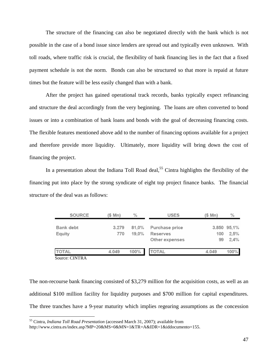The structure of the financing can also be negotiated directly with the bank which is not possible in the case of a bond issue since lenders are spread out and typically even unknown. With toll roads, where traffic risk is crucial, the flexibility of bank financing lies in the fact that a fixed payment schedule is not the norm. Bonds can also be structured so that more is repaid at future times but the feature will be less easily changed than with a bank.

After the project has gained operational track records, banks typically expect refinancing and structure the deal accordingly from the very beginning. The loans are often converted to bond issues or into a combination of bank loans and bonds with the goal of decreasing financing costs. The flexible features mentioned above add to the number of financing options available for a project and therefore provide more liquidity. Ultimately, more liquidity will bring down the cost of financing the project.

In a presentation about the Indiana Toll Road deal,<sup>55</sup> Cintra highlights the flexibility of the financing put into place by the strong syndicate of eight top project finance banks. The financial structure of the deal was as follows:

| <b>SOURCE</b>                  | (\$ Mn)      | $\frac{0}{0}$  | <b>USES</b>                                  | $(S$ Mn $)$ | $\frac{0}{0}$               |
|--------------------------------|--------------|----------------|----------------------------------------------|-------------|-----------------------------|
| Bank debt<br>Equity            | 3.279<br>770 | 81,0%<br>19.0% | Purchase price<br>Reserves<br>Other expenses | 100<br>99   | 3.850 95,1%<br>2,5%<br>2.4% |
| <b>TOTAL</b><br>Source: CINTRA | 4.049        | 100%           | <b>TOTAL</b>                                 | 4.049       | 100%                        |

The non-recourse bank financing consisted of \$3,279 million for the acquisition costs, as well as an additional \$100 million facility for liquidity purposes and \$700 million for capital expenditures. The three tranches have a 9-year maturity which implies regearing assumptions as the concession

<sup>55</sup> Cintra, *Indiana Toll Road Presentation* (accessed March 31, 2007); available from

http://www.cintra.es/index.asp?MP=20&MS=0&MN=1&TR=A&IDR=1&iddocumento=155.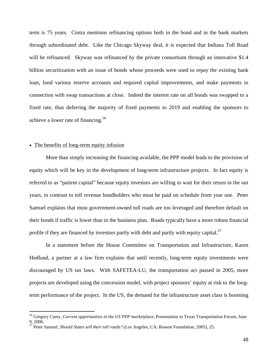term is 75 years. Cintra mentions refinancing options both in the bond and in the bank markets through subordinated debt. Like the Chicago Skyway deal, it is expected that Indiana Toll Road will be refinanced. Skyway was refinanced by the private consortium through an innovative \$1.4 billion securitization with an issue of bonds whose proceeds were used to repay the existing bank loan, fund various reserve accounts and required capital improvements, and make payments in connection with swap transactions at close. Indeed the interest rate on all bonds was swapped to a fixed rate, thus deferring the majority of fixed payments to 2019 and enabling the sponsors to achieve a lower rate of financing.<sup>56</sup>

## • The benefits of long-term equity infusion

 $\overline{a}$ 

More than simply increasing the financing available, the PPP model leads to the provision of equity which will be key in the development of long-term infrastructure projects. In fact equity is referred to as "patient capital" because equity investors are willing to wait for their return in the out years, in contrast to toll revenue bondholders who must be paid on schedule from year one. Peter Samuel explains that most government-owned toll roads are too leveraged and therefore default on their bonds if traffic is lower than in the business plan. Roads typically have a more robust financial profile if they are financed by investors partly with debt and partly with equity capital.<sup>57</sup>

In a statement before the House Committee on Transportation and Infrastructure, Karen Hedlund, a partner at a law firm explains that until recently, long-term equity investments were discouraged by US tax laws. With SAFETEA-LU, the transportation act passed in 2005, more projects are developed using the concession model, with project sponsors' equity at risk to the longterm performance of the project. In the US, the demand for the infrastructure asset class is booming

<sup>56</sup> Gregory Carey, *Current opportunities in the US PPP marketplace*, Presentation to Texas Transportation Forum, June 9, 2006.

<sup>57</sup> Peter Samuel, *Should States sell their toll roads?* (Los Angeles, CA: Reason Foundation, 2005), 25.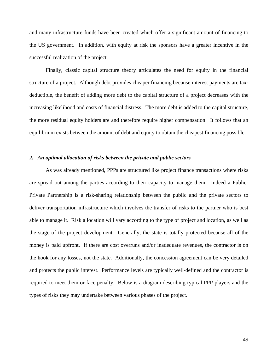and many infrastructure funds have been created which offer a significant amount of financing to the US government. In addition, with equity at risk the sponsors have a greater incentive in the successful realization of the project.

Finally, classic capital structure theory articulates the need for equity in the financial structure of a project. Although debt provides cheaper financing because interest payments are taxdeductible, the benefit of adding more debt to the capital structure of a project decreases with the increasing likelihood and costs of financial distress. The more debt is added to the capital structure, the more residual equity holders are and therefore require higher compensation. It follows that an equilibrium exists between the amount of debt and equity to obtain the cheapest financing possible.

#### *2. An optimal allocation of risks between the private and public sectors*

As was already mentioned, PPPs are structured like project finance transactions where risks are spread out among the parties according to their capacity to manage them. Indeed a Public-Private Partnership is a risk-sharing relationship between the public and the private sectors to deliver transportation infrastructure which involves the transfer of risks to the partner who is best able to manage it. Risk allocation will vary according to the type of project and location, as well as the stage of the project development. Generally, the state is totally protected because all of the money is paid upfront. If there are cost overruns and/or inadequate revenues, the contractor is on the hook for any losses, not the state. Additionally, the concession agreement can be very detailed and protects the public interest. Performance levels are typically well-defined and the contractor is required to meet them or face penalty. Below is a diagram describing typical PPP players and the types of risks they may undertake between various phases of the project.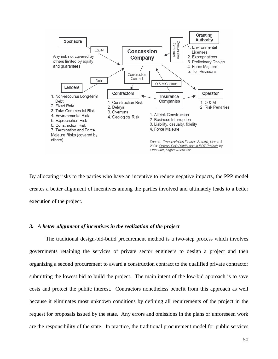

By allocating risks to the parties who have an incentive to reduce negative impacts, the PPP model creates a better alignment of incentives among the parties involved and ultimately leads to a better execution of the project.

#### *3. A better alignment of incentives in the realization of the project*

The traditional design-bid-build procurement method is a two-step process which involves governments retaining the services of private sector engineers to design a project and then organizing a second procurement to award a construction contract to the qualified private contractor submitting the lowest bid to build the project. The main intent of the low-bid approach is to save costs and protect the public interest. Contractors nonetheless benefit from this approach as well because it eliminates most unknown conditions by defining all requirements of the project in the request for proposals issued by the state. Any errors and omissions in the plans or unforeseen work are the responsibility of the state. In practice, the traditional procurement model for public services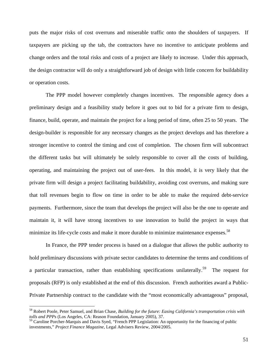puts the major risks of cost overruns and miserable traffic onto the shoulders of taxpayers. If taxpayers are picking up the tab, the contractors have no incentive to anticipate problems and change orders and the total risks and costs of a project are likely to increase. Under this approach, the design contractor will do only a straightforward job of design with little concern for buildability or operation costs.

The PPP model however completely changes incentives. The responsible agency does a preliminary design and a feasibility study before it goes out to bid for a private firm to design, finance, build, operate, and maintain the project for a long period of time, often 25 to 50 years. The design-builder is responsible for any necessary changes as the project develops and has therefore a stronger incentive to control the timing and cost of completion. The chosen firm will subcontract the different tasks but will ultimately be solely responsible to cover all the costs of building, operating, and maintaining the project out of user-fees. In this model, it is very likely that the private firm will design a project facilitating buildability, avoiding cost overruns, and making sure that toll revenues begin to flow on time in order to be able to make the required debt-service payments. Furthermore, since the team that develops the project will also be the one to operate and maintain it, it will have strong incentives to use innovation to build the project in ways that minimize its life-cycle costs and make it more durable to minimize maintenance expenses.<sup>58</sup>

In France, the PPP tender process is based on a dialogue that allows the public authority to hold preliminary discussions with private sector candidates to determine the terms and conditions of a particular transaction, rather than establishing specifications unilaterally.<sup>59</sup> The request for proposals (RFP) is only established at the end of this discussion. French authorities award a Public-Private Partnership contract to the candidate with the "most economically advantageous" proposal,

<sup>58</sup> Robert Poole, Peter Samuel, and Brian Chase, *Building for the future: Easing California's transportation crisis with tolls and PPPs* (Los Angeles, CA: Reason Foundation, January 2005), 37.

<sup>&</sup>lt;sup>59</sup> Caroline Porcher-Marquis and Davis Syed, "French PPP Legislation: An opportunity for the financing of public investments," *Project Finance Magazine*, Legal Advisers Review, 2004/2005.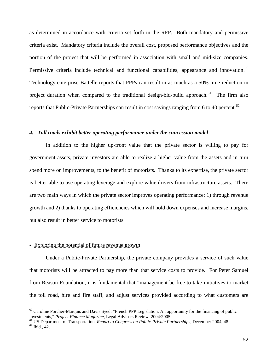as determined in accordance with criteria set forth in the RFP. Both mandatory and permissive criteria exist. Mandatory criteria include the overall cost, proposed performance objectives and the portion of the project that will be performed in association with small and mid-size companies. Permissive criteria include technical and functional capabilities, appearance and innovation.<sup>60</sup> Technology enterprise Battelle reports that PPPs can result in as much as a 50% time reduction in project duration when compared to the traditional design-bid-build approach.<sup>61</sup> The firm also reports that Public-Private Partnerships can result in cost savings ranging from 6 to 40 percent.<sup>62</sup>

### *4. Toll roads exhibit better operating performance under the concession model*

In addition to the higher up-front value that the private sector is willing to pay for government assets, private investors are able to realize a higher value from the assets and in turn spend more on improvements, to the benefit of motorists. Thanks to its expertise, the private sector is better able to use operating leverage and explore value drivers from infrastructure assets. There are two main ways in which the private sector improves operating performance: 1) through revenue growth and 2) thanks to operating efficiencies which will hold down expenses and increase margins, but also result in better service to motorists.

### Exploring the potential of future revenue growth

Under a Public-Private Partnership, the private company provides a service of such value that motorists will be attracted to pay more than that service costs to provide. For Peter Samuel from Reason Foundation, it is fundamental that "management be free to take initiatives to market the toll road, hire and fire staff, and adjust services provided according to what customers are

 $60$  Caroline Porcher-Marquis and Davis Syed, "French PPP Legislation: An opportunity for the financing of public

investments," *Project Finance Magazine*, Legal Advisers Review, 2004/2005.<br><sup>61</sup> US Department of Transportation, *Report to Congress on Public-Private Partnerships*, December 2004, 48. <sup>62</sup> Ibid., 42.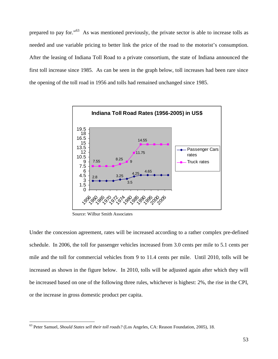prepared to pay for."63 As was mentioned previously, the private sector is able to increase tolls as needed and use variable pricing to better link the price of the road to the motorist's consumption. After the leasing of Indiana Toll Road to a private consortium, the state of Indiana announced the first toll increase since 1985. As can be seen in the graph below, toll increases had been rare since the opening of the toll road in 1956 and tolls had remained unchanged since 1985.



Source: Wilbur Smith Associates

Under the concession agreement, rates will be increased according to a rather complex pre-defined schedule. In 2006, the toll for passenger vehicles increased from 3.0 cents per mile to 5.1 cents per mile and the toll for commercial vehicles from 9 to 11.4 cents per mile. Until 2010, tolls will be increased as shown in the figure below. In 2010, tolls will be adjusted again after which they will be increased based on one of the following three rules, whichever is highest: 2%, the rise in the CPI, or the increase in gross domestic product per capita.

<sup>63</sup> Peter Samuel, *Should States sell their toll roads?* (Los Angeles, CA: Reason Foundation, 2005), 18.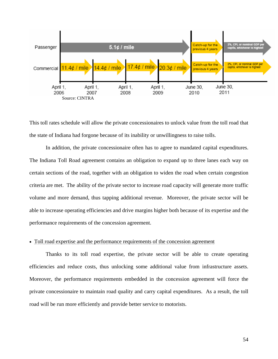

This toll rates schedule will allow the private concessionaires to unlock value from the toll road that the state of Indiana had forgone because of its inability or unwillingness to raise tolls.

In addition, the private concessionaire often has to agree to mandated capital expenditures. The Indiana Toll Road agreement contains an obligation to expand up to three lanes each way on certain sections of the road, together with an obligation to widen the road when certain congestion criteria are met. The ability of the private sector to increase road capacity will generate more traffic volume and more demand, thus tapping additional revenue. Moreover, the private sector will be able to increase operating efficiencies and drive margins higher both because of its expertise and the performance requirements of the concession agreement.

Toll road expertise and the performance requirements of the concession agreement

Thanks to its toll road expertise, the private sector will be able to create operating efficiencies and reduce costs, thus unlocking some additional value from infrastructure assets. Moreover, the performance requirements embedded in the concession agreement will force the private concessionaire to maintain road quality and carry capital expenditures. As a result, the toll road will be run more efficiently and provide better service to motorists.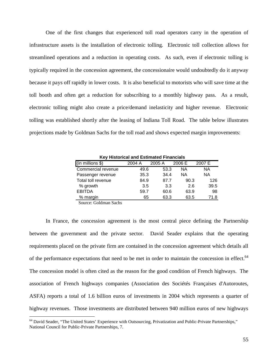One of the first changes that experienced toll road operators carry in the operation of infrastructure assets is the installation of electronic tolling. Electronic toll collection allows for streamlined operations and a reduction in operating costs. As such, even if electronic tolling is typically required in the concession agreement, the concessionaire would undoubtedly do it anyway because it pays off rapidly in lower costs. It is also beneficial to motorists who will save time at the toll booth and often get a reduction for subscribing to a monthly highway pass. As a result, electronic tolling might also create a price/demand inelasticity and higher revenue. Electronic tolling was established shortly after the leasing of Indiana Toll Road. The table below illustrates projections made by Goldman Sachs for the toll road and shows expected margin improvements:

| Rey Historical and Estimated Financials |        |        |        |        |  |  |  |  |
|-----------------------------------------|--------|--------|--------|--------|--|--|--|--|
| $(in$ millions $$)$                     | 2004 A | 2005 A | 2006 E | 2007 E |  |  |  |  |
| Commercial revenue                      | 49.6   | 53.3   | NА     | NА     |  |  |  |  |
| Passenger revenue                       | 35.3   | 34.4   | NА     | NА     |  |  |  |  |
| Total toll revenue                      | 84.9   | 87.7   | 90.3   | 126    |  |  |  |  |
| % growth                                | 3.5    | 3.3    | 2.6    | 39.5   |  |  |  |  |
| <b>EBITDA</b>                           | 59.7   | 60.6   | 63.9   | 98     |  |  |  |  |
| % margin                                | 65     | 63.3   | 63.5   | 71.8   |  |  |  |  |

**Key Historical and Estimated Financials**

Source: Goldman Sachs

 $\overline{a}$ 

In France, the concession agreement is the most central piece defining the Partnership between the government and the private sector. David Seader explains that the operating requirements placed on the private firm are contained in the concession agreement which details all of the performance expectations that need to be met in order to maintain the concession in effect.<sup>64</sup> The concession model is often cited as the reason for the good condition of French highways. The association of French highways companies (Association des Sociétés Françaises d'Autoroutes, ASFA) reports a total of 1.6 billion euros of investments in 2004 which represents a quarter of highway revenues. Those investments are distributed between 940 million euros of new highways

<sup>&</sup>lt;sup>64</sup> David Seader, "The United States' Experience with Outsourcing, Privatization and Public-Private Partnerships," National Council for Public-Private Partnerships, 7.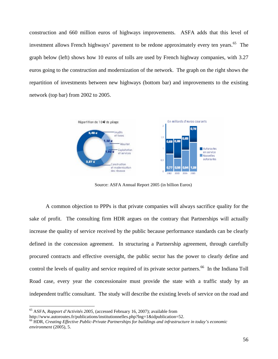construction and 660 million euros of highways improvements. ASFA adds that this level of investment allows French highways' pavement to be redone approximately every ten years.<sup>65</sup> The graph below (left) shows how 10 euros of tolls are used by French highway companies, with 3.27 euros going to the construction and modernization of the network. The graph on the right shows the repartition of investments between new highways (bottom bar) and improvements to the existing network (top bar) from 2002 to 2005.



Source: ASFA Annual Report 2005 (in billion Euros)

A common objection to PPPs is that private companies will always sacrifice quality for the sake of profit. The consulting firm HDR argues on the contrary that Partnerships will actually increase the quality of service received by the public because performance standards can be clearly defined in the concession agreement. In structuring a Partnership agreement, through carefully procured contracts and effective oversight, the public sector has the power to clearly define and control the levels of quality and service required of its private sector partners.<sup>66</sup> In the Indiana Toll Road case, every year the concessionaire must provide the state with a traffic study by an independent traffic consultant. The study will describe the existing levels of service on the road and

 $\overline{a}$ 

http://www.autoroutes.fr/publications/institutionnelles.php?lng=1&idpublication=52.

<sup>65</sup> ASFA, *Rapport d'Activités 2005*, (accessed February 16, 2007); available from

<sup>66</sup> HDR, *Creating Effective Public-Private Partnerships for buildings and infrastructure in today's economic environment* (2005), 5.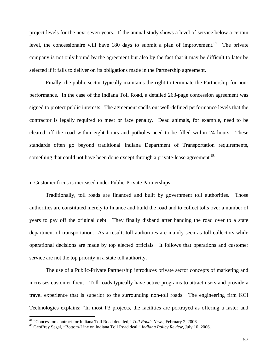project levels for the next seven years. If the annual study shows a level of service below a certain level, the concessionaire will have 180 days to submit a plan of improvement.<sup>67</sup> The private company is not only bound by the agreement but also by the fact that it may be difficult to later be selected if it fails to deliver on its obligations made in the Partnership agreement.

Finally, the public sector typically maintains the right to terminate the Partnership for nonperformance. In the case of the Indiana Toll Road, a detailed 263-page concession agreement was signed to protect public interests. The agreement spells out well-defined performance levels that the contractor is legally required to meet or face penalty. Dead animals, for example, need to be cleared off the road within eight hours and potholes need to be filled within 24 hours. These standards often go beyond traditional Indiana Department of Transportation requirements, something that could not have been done except through a private-lease agreement.<sup>68</sup>

# • Customer focus is increased under Public-Private Partnerships

Traditionally, toll roads are financed and built by government toll authorities. Those authorities are constituted merely to finance and build the road and to collect tolls over a number of years to pay off the original debt. They finally disband after handing the road over to a state department of transportation. As a result, toll authorities are mainly seen as toll collectors while operational decisions are made by top elected officials. It follows that operations and customer service are not the top priority in a state toll authority.

The use of a Public-Private Partnership introduces private sector concepts of marketing and increases customer focus. Toll roads typically have active programs to attract users and provide a travel experience that is superior to the surrounding non-toll roads. The engineering firm KCI Technologies explains: "In most P3 projects, the facilities are portrayed as offering a faster and

<sup>&</sup>lt;sup>67</sup> "Concession contract for Indiana Toll Road detailed," *Toll Roads News*, February 2, 2006.<br><sup>68</sup> Geoffrey Segal, "Bottom-Line on Indiana Toll Road deal," *Indiana Policy Review*, July 10, 2006.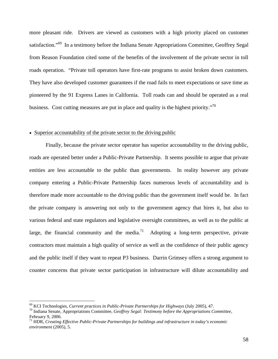more pleasant ride. Drivers are viewed as customers with a high priority placed on customer satisfaction."<sup>69</sup> In a testimony before the Indiana Senate Appropriations Committee, Geoffrey Segal from Reason Foundation cited some of the benefits of the involvement of the private sector in toll roads operation. "Private toll operators have first-rate programs to assist broken down customers. They have also developed customer guarantees if the road fails to meet expectations or save time as pioneered by the 91 Express Lanes in California. Toll roads can and should be operated as a real business. Cost cutting measures are put in place and quality is the highest priority. $170$ 

## • Superior accountability of the private sector to the driving public

Finally, because the private sector operator has superior accountability to the driving public, roads are operated better under a Public-Private Partnership. It seems possible to argue that private entities are less accountable to the public than governments. In reality however any private company entering a Public-Private Partnership faces numerous levels of accountability and is therefore made more accountable to the driving public than the government itself would be. In fact the private company is answering not only to the government agency that hires it, but also to various federal and state regulators and legislative oversight committees, as well as to the public at large, the financial community and the media.<sup>71</sup> Adopting a long-term perspective, private contractors must maintain a high quality of service as well as the confidence of their public agency and the public itself if they want to repeat P3 business. Darrin Grimsey offers a strong argument to counter concerns that private sector participation in infrastructure will dilute accountability and

<sup>&</sup>lt;sup>69</sup> KCI Technologies, *Current practices in Public-Private Partnerships for Highways* (July 2005), 47.<br><sup>70</sup> Indiana Senate, Appropriations Committee, *Geoffrey Segal: Testimony before the Appropriations Committee*, February 9, 2006.

<sup>71</sup> HDR, *Creating Effective Public-Private Partnerships for buildings and infrastructure in today's economic environment* (2005), 5.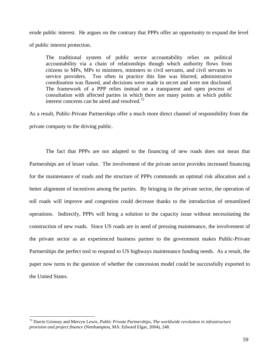erode public interest. He argues on the contrary that PPPs offer an opportunity to expand the level of public interest protection.

The traditional system of public sector accountability relies on political accountability via a chain of relationships though which authority flows from citizens to MPs, MPs to ministers, ministers to civil servants, and civil servants to service providers. Too often in practice this line was blurred, administrative coordination was flawed, and decisions were made in secret and were not disclosed. The framework of a PPP relies instead on a transparent and open process of consultation with affected parties in which there are many points at which public interest concerns can be aired and resolved.<sup>72</sup>

As a result, Public-Private Partnerships offer a much more direct channel of responsibility from the private company to the driving public.

The fact that PPPs are not adapted to the financing of new roads does not mean that Partnerships are of lesser value. The involvement of the private sector provides increased financing for the maintenance of roads and the structure of PPPs commands an optimal risk allocation and a better alignment of incentives among the parties. By bringing in the private sector, the operation of toll roads will improve and congestion could decrease thanks to the introduction of streamlined operations. Indirectly, PPPs will bring a solution to the capacity issue without necessitating the construction of new roads. Since US roads are in need of pressing maintenance, the involvement of the private sector as an experienced business partner to the government makes Public-Private Partnerships the perfect tool to respond to US highways maintenance funding needs. As a result, the paper now turns to the question of whether the concession model could be successfully exported to the United States.

<sup>72</sup> Darrin Grimsey and Mervyn Lewis, *Public Private Partnerships, The worldwide revolution in infrastructure provision and project finance* (Northampton, MA: Edward Elgar, 2004), 248.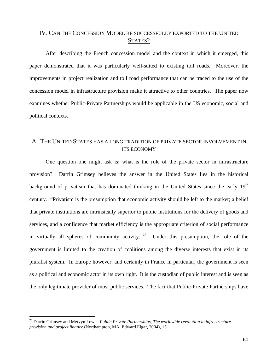# IV. CAN THE CONCESSION MODEL BE SUCCESSFULLY EXPORTED TO THE UNITED STATES?

After describing the French concession model and the context in which it emerged, this paper demonstrated that it was particularly well-suited to existing toll roads. Moreover, the improvements in project realization and toll road performance that can be traced to the use of the concession model in infrastructure provision make it attractive to other countries. The paper now examines whether Public-Private Partnerships would be applicable in the US economic, social and political contexts.

## A. THE UNITED STATES HAS A LONG TRADITION OF PRIVATE SECTOR INVOLVEMENT IN ITS ECONOMY

One question one might ask is: what is the role of the private sector in infrastructure provision? Darrin Grimsey believes the answer in the United States lies in the historical background of privatism that has dominated thinking in the United States since the early 19<sup>th</sup> century. "Privatism is the presumption that economic activity should be left to the market; a belief that private institutions are intrinsically superior to public institutions for the delivery of goods and services, and a confidence that market efficiency is the appropriate criterion of social performance in virtually all spheres of community activity."<sup>73</sup> Under this presumption, the role of the government is limited to the creation of coalitions among the diverse interests that exist in its pluralist system. In Europe however, and certainly in France in particular, the government is seen as a political and economic actor in its own right. It is the custodian of public interest and is seen as the only legitimate provider of most public services. The fact that Public-Private Partnerships have

<sup>73</sup> Darrin Grimsey and Mervyn Lewis, *Public Private Partnerships, The worldwide revolution in infrastructure provision and project finance* (Northampton, MA: Edward Elgar, 2004), 15.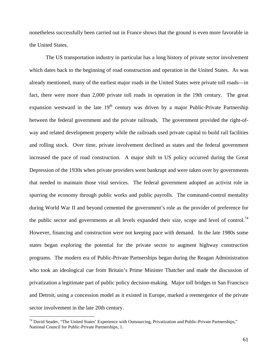nonetheless successfully been carried out in France shows that the ground is even more favorable in the United States.

The US transportation industry in particular has a long history of private sector involvement which dates back to the beginning of road construction and operation in the United States. As was already mentioned, many of the earliest major roads in the United States were private toll roads—in fact, there were more than 2,000 private toll roads in operation in the 19th century. The great expansion westward in the late  $19<sup>th</sup>$  century was driven by a major Public-Private Partnership between the federal government and the private railroads. The government provided the right-ofway and related development property while the railroads used private capital to build rail facilities and rolling stock. Over time, private involvement declined as states and the federal government increased the pace of road construction. A major shift in US policy occurred during the Great Depression of the 1930s when private providers went bankrupt and were taken over by governments that needed to maintain those vital services. The federal government adopted an activist role in spurring the economy through public works and public payrolls. The command-control mentality during World War II and beyond cemented the government's role as the provider of preference for the public sector and governments at all levels expanded their size, scope and level of control.<sup>74</sup> However, financing and construction were not keeping pace with demand. In the late 1980s some states began exploring the potential for the private sector to augment highway construction programs. The modern era of Public-Private Partnerships began during the Reagan Administration who took an ideological cue from Britain's Prime Minister Thatcher and made the discussion of privatization a legitimate part of public policy decision-making. Major toll bridges in San Francisco and Detroit, using a concession model as it existed in Europe, marked a reemergence of the private sector involvement in the late 20th century.

 $74$  David Seader, "The United States' Experience with Outsourcing, Privatization and Public-Private Partnerships," National Council for Public-Private Partnerships, 1.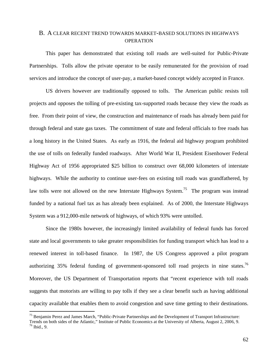# B. A CLEAR RECENT TREND TOWARDS MARKET-BASED SOLUTIONS IN HIGHWAYS **OPERATION**

This paper has demonstrated that existing toll roads are well-suited for Public-Private Partnerships. Tolls allow the private operator to be easily remunerated for the provision of road services and introduce the concept of user-pay, a market-based concept widely accepted in France.

US drivers however are traditionally opposed to tolls. The American public resists toll projects and opposes the tolling of pre-existing tax-supported roads because they view the roads as free. From their point of view, the construction and maintenance of roads has already been paid for through federal and state gas taxes. The commitment of state and federal officials to free roads has a long history in the United States. As early as 1916, the federal aid highway program prohibited the use of tolls on federally funded roadways. After World War II, President Eisenhower Federal Highway Act of 1956 appropriated \$25 billion to construct over 68,000 kilometers of interstate highways. While the authority to continue user-fees on existing toll roads was grandfathered, by law tolls were not allowed on the new Interstate Highways System.<sup>75</sup> The program was instead funded by a national fuel tax as has already been explained. As of 2000, the Interstate Highways System was a 912,000-mile network of highways, of which 93% were untolled.

Since the 1980s however, the increasingly limited availability of federal funds has forced state and local governments to take greater responsibilities for funding transport which has lead to a renewed interest in toll-based finance. In 1987, the US Congress approved a pilot program authorizing 35% federal funding of government-sponsored toll road projects in nine states.<sup>76</sup> Moreover, the US Department of Transportation reports that "recent experience with toll roads suggests that motorists are willing to pay tolls if they see a clear benefit such as having additional capacity available that enables them to avoid congestion and save time getting to their destinations.

 $75$  Benjamin Perez and James March, "Public-Private Partnerships and the Development of Transport Infrastructure:

Trends on both sides of the Atlantic," Institute of Public Economics at the University of Alberta, August 2, 2006, 9.  $76$  Ibid., 9.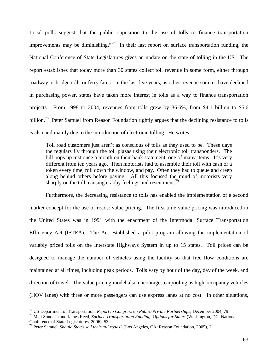Local polls suggest that the public opposition to the use of tolls to finance transportation improvements may be diminishing."<sup>77</sup> In their last report on surface transportation funding, the National Conference of State Legislatures gives an update on the state of tolling in the US. The report establishes that today more than 30 states collect toll revenue in some form, either through roadway or bridge tolls or ferry fares. In the last five years, as other revenue sources have declined in purchasing power, states have taken more interest in tolls as a way to finance transportation projects. From 1998 to 2004, revenues from tolls grew by 36.6%, from \$4.1 billion to \$5.6 billion.<sup>78</sup> Peter Samuel from Reason Foundation rightly argues that the declining resistance to tolls is also and mainly due to the introduction of electronic tolling. He writes:

Toll road customers just aren't as conscious of tolls as they used to be. These days the regulars fly through the toll plazas using their electronic toll transponders. The bill pops up just once a month on their bank statement, one of many items. It's very different from ten years ago. Then motorists had to assemble their toll with cash or a token every time, roll down the window, and pay. Often they had to queue and creep along behind others before paying. All this focused the mind of motorists very sharply on the toll, causing crabby feelings and resentment.<sup>79</sup>

Furthermore, the decreasing resistance to tolls has enabled the implementation of a second market concept for the use of roads: value pricing. The first time value pricing was introduced in the United States was in 1991 with the enactment of the Intermodal Surface Transportation Efficiency Act (ISTEA). The Act established a pilot program allowing the implementation of variably priced tolls on the Interstate Highways System in up to 15 states. Toll prices can be designed to manage the number of vehicles using the facility so that free flow conditions are maintained at all times, including peak periods. Tolls vary by hour of the day, day of the week, and direction of travel. The value pricing model also encourages carpooling as high occupancy vehicles (HOV lanes) with three or more passengers can use express lanes at no cost. In other situations,

<sup>&</sup>lt;sup>77</sup> US Department of Transportation, *Report to Congress on Public-Private Partnerships*, December 2004, 79.<br><sup>78</sup> Matt Sundeen and James Reed, *Surface Transportation Funding, Options for States* (Washington, DC: Nationa Conference of State Legislatures, 2006), 53.

<sup>79</sup> Peter Samuel, *Should States sell their toll roads?* (Los Angeles, CA: Reason Foundation, 2005), 2.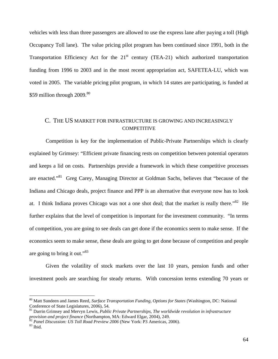vehicles with less than three passengers are allowed to use the express lane after paying a toll (High Occupancy Toll lane). The value pricing pilot program has been continued since 1991, both in the Transportation Efficiency Act for the  $21<sup>st</sup>$  century (TEA-21) which authorized transportation funding from 1996 to 2003 and in the most recent appropriation act, SAFETEA-LU, which was voted in 2005. The variable pricing pilot program, in which 14 states are participating, is funded at \$59 million through  $2009$ .<sup>80</sup>

## C. THE US MARKET FOR INFRASTRUCTURE IS GROWING AND INCREASINGLY **COMPETITIVE**

Competition is key for the implementation of Public-Private Partnerships which is clearly explained by Grimsey: "Efficient private financing rests on competition between potential operators and keeps a lid on costs. Partnerships provide a framework in which these competitive processes are enacted."<sup>81</sup> Greg Carey, Managing Director at Goldman Sachs, believes that "because of the Indiana and Chicago deals, project finance and PPP is an alternative that everyone now has to look at. I think Indiana proves Chicago was not a one shot deal; that the market is really there."<sup>82</sup> He further explains that the level of competition is important for the investment community. "In terms of competition, you are going to see deals can get done if the economics seem to make sense. If the economics seem to make sense, these deals are going to get done because of competition and people are going to bring it out."83

Given the volatility of stock markets over the last 10 years, pension funds and other investment pools are searching for steady returns. With concession terms extending 70 years or

<sup>80</sup> Matt Sundeen and James Reed, *Surface Transportation Funding, Options for States* (Washington, DC: National Conference of State Legislatures, 2006), 54.

<sup>&</sup>lt;sup>81</sup> Darrin Grimsey and Mervyn Lewis, *Public Private Partnerships, The worldwide revolution in infrastructure provision and project finance (Northampton, MA: Edward Elgar, 2004), 249.* 

<sup>&</sup>lt;sup>82</sup> Panel Discussion: US Toll Road Preview 2006 (New York: P3 Americas, 2006). <sup>83</sup> Ibid.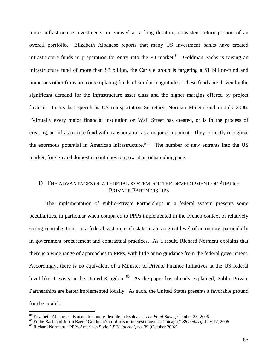more, infrastructure investments are viewed as a long duration, consistent return portion of an overall portfolio. Elizabeth Albanese reports that many US investment banks have created infrastructure funds in preparation for entry into the P3 market.<sup>84</sup> Goldman Sachs is raising an infrastructure fund of more than \$3 billion, the Carlyle group is targeting a \$1 billion-fund and numerous other firms are contemplating funds of similar magnitudes. These funds are driven by the significant demand for the infrastructure asset class and the higher margins offered by project finance. In his last speech as US transportation Secretary, Norman Mineta said in July 2006: "Virtually every major financial institution on Wall Street has created, or is in the process of creating, an infrastructure fund with transportation as a major component. They correctly recognize the enormous potential in American infrastructure.<sup>85</sup> The number of new entrants into the US market, foreign and domestic, continues to grow at an outstanding pace.

## D. THE ADVANTAGES OF A FEDERAL SYSTEM FOR THE DEVELOPMENT OF PUBLIC-PRIVATE PARTNERSHIPS

The implementation of Public-Private Partnerships in a federal system presents some peculiarities, in particular when compared to PPPs implemented in the French context of relatively strong centralization. In a federal system, each state retains a great level of autonomy, particularly in government procurement and contractual practices. As a result, Richard Norment explains that there is a wide range of approaches to PPPs, with little or no guidance from the federal government. Accordingly, there is no equivalent of a Minister of Private Finance Initiatives at the US federal level like it exists in the United Kingdom.<sup>86</sup> As the paper has already explained, Public-Private Partnerships are better implemented locally. As such, the United States presents a favorable ground for the model.

<sup>&</sup>lt;sup>84</sup> Elizabeth Albanese, "Banks often more flexible in P3 deals," *The Bond Buyer*, October 23, 2006.<br><sup>85</sup> Eddie Baeb and Justin Baer, "Goldman's conflicts of interest convulse Chicago," *Bloomberg*, July 17, 2006.<br><sup>86</sup> Ri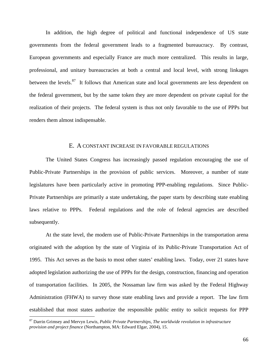In addition, the high degree of political and functional independence of US state governments from the federal government leads to a fragmented bureaucracy. By contrast, European governments and especially France are much more centralized. This results in large, professional, and unitary bureaucracies at both a central and local level, with strong linkages between the levels. $87$  It follows that American state and local governments are less dependent on the federal government, but by the same token they are more dependent on private capital for the realization of their projects. The federal system is thus not only favorable to the use of PPPs but renders them almost indispensable.

#### E. A CONSTANT INCREASE IN FAVORABLE REGULATIONS

The United States Congress has increasingly passed regulation encouraging the use of Public-Private Partnerships in the provision of public services. Moreover, a number of state legislatures have been particularly active in promoting PPP-enabling regulations. Since Public-Private Partnerships are primarily a state undertaking, the paper starts by describing state enabling laws relative to PPPs. Federal regulations and the role of federal agencies are described subsequently.

At the state level, the modern use of Public-Private Partnerships in the transportation arena originated with the adoption by the state of Virginia of its Public-Private Transportation Act of 1995. This Act serves as the basis to most other states' enabling laws. Today, over 21 states have adopted legislation authorizing the use of PPPs for the design, construction, financing and operation of transportation facilities. In 2005, the Nossaman law firm was asked by the Federal Highway Administration (FHWA) to survey those state enabling laws and provide a report. The law firm established that most states authorize the responsible public entity to solicit requests for PPP

<sup>87</sup> Darrin Grimsey and Mervyn Lewis, *Public Private Partnerships, The worldwide revolution in infrastructure provision and project finance* (Northampton, MA: Edward Elgar, 2004), 15.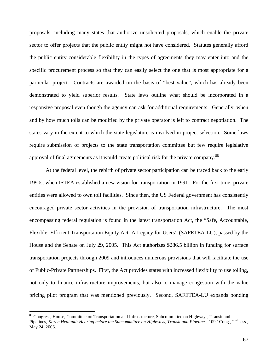proposals, including many states that authorize unsolicited proposals, which enable the private sector to offer projects that the public entity might not have considered. Statutes generally afford the public entity considerable flexibility in the types of agreements they may enter into and the specific procurement process so that they can easily select the one that is most appropriate for a particular project. Contracts are awarded on the basis of "best value", which has already been demonstrated to yield superior results. State laws outline what should be incorporated in a responsive proposal even though the agency can ask for additional requirements. Generally, when and by how much tolls can be modified by the private operator is left to contract negotiation. The states vary in the extent to which the state legislature is involved in project selection. Some laws require submission of projects to the state transportation committee but few require legislative approval of final agreements as it would create political risk for the private company.<sup>88</sup>

At the federal level, the rebirth of private sector participation can be traced back to the early 1990s, when ISTEA established a new vision for transportation in 1991. For the first time, private entities were allowed to own toll facilities. Since then, the US Federal government has consistently encouraged private sector activities in the provision of transportation infrastructure. The most encompassing federal regulation is found in the latest transportation Act, the "Safe, Accountable, Flexible, Efficient Transportation Equity Act: A Legacy for Users" (SAFETEA-LU), passed by the House and the Senate on July 29, 2005. This Act authorizes \$286.5 billion in funding for surface transportation projects through 2009 and introduces numerous provisions that will facilitate the use of Public-Private Partnerships. First, the Act provides states with increased flexibility to use tolling, not only to finance infrastructure improvements, but also to manage congestion with the value pricing pilot program that was mentioned previously. Second, SAFETEA-LU expands bonding

<sup>&</sup>lt;sup>88</sup> Congress, House, Committee on Transportation and Infrastructure, Subcommittee on Highways, Transit and Pipelines, *Karen Hedlund: Hearing before the Subcommittee on Highways, Transit and Pipelines*, 109<sup>th</sup> Cong., 2<sup>nd</sup> sess., May 24, 2006.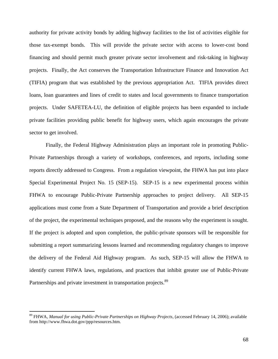authority for private activity bonds by adding highway facilities to the list of activities eligible for those tax-exempt bonds. This will provide the private sector with access to lower-cost bond financing and should permit much greater private sector involvement and risk-taking in highway projects. Finally, the Act conserves the Transportation Infrastructure Finance and Innovation Act (TIFIA) program that was established by the previous appropriation Act. TIFIA provides direct loans, loan guarantees and lines of credit to states and local governments to finance transportation projects. Under SAFETEA-LU, the definition of eligible projects has been expanded to include private facilities providing public benefit for highway users, which again encourages the private sector to get involved.

Finally, the Federal Highway Administration plays an important role in promoting Public-Private Partnerships through a variety of workshops, conferences, and reports, including some reports directly addressed to Congress. From a regulation viewpoint, the FHWA has put into place Special Experimental Project No. 15 (SEP-15). SEP-15 is a new experimental process within FHWA to encourage Public-Private Partnership approaches to project delivery. All SEP-15 applications must come from a State Department of Transportation and provide a brief description of the project, the experimental techniques proposed, and the reasons why the experiment is sought. If the project is adopted and upon completion, the public-private sponsors will be responsible for submitting a report summarizing lessons learned and recommending regulatory changes to improve the delivery of the Federal Aid Highway program. As such, SEP-15 will allow the FHWA to identify current FHWA laws, regulations, and practices that inhibit greater use of Public-Private Partnerships and private investment in transportation projects.<sup>89</sup>

<sup>89</sup> FHWA, *Manual for using Public-Private Partnerships on Highway Projects*, (accessed February 14, 2006); available from http://www.fhwa.dot.gov/ppp/resources.htm.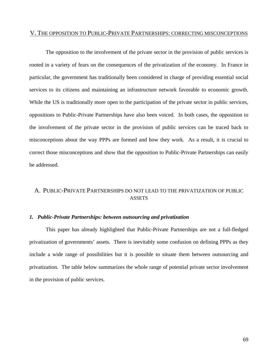## V. THE OPPOSITION TO PUBLIC-PRIVATE PARTNERSHIPS: CORRECTING MISCONCEPTIONS

The opposition to the involvement of the private sector in the provision of public services is rooted in a variety of fears on the consequences of the privatization of the economy. In France in particular, the government has traditionally been considered in charge of providing essential social services to its citizens and maintaining an infrastructure network favorable to economic growth. While the US is traditionally more open to the participation of the private sector in public services, oppositions to Public-Private Partnerships have also been voiced. In both cases, the opposition to the involvement of the private sector in the provision of public services can be traced back to misconceptions about the way PPPs are formed and how they work. As a result, it is crucial to correct those misconceptions and show that the opposition to Public-Private Partnerships can easily be addressed.

# A. PUBLIC-PRIVATE PARTNERSHIPS DO NOT LEAD TO THE PRIVATIZATION OF PUBLIC ASSETS

#### *1. Public-Private Partnerships: between outsourcing and privatization*

This paper has already highlighted that Public-Private Partnerships are not a full-fledged privatization of governments' assets. There is inevitably some confusion on defining PPPs as they include a wide range of possibilities but it is possible to situate them between outsourcing and privatization. The table below summarizes the whole range of potential private sector involvement in the provision of public services.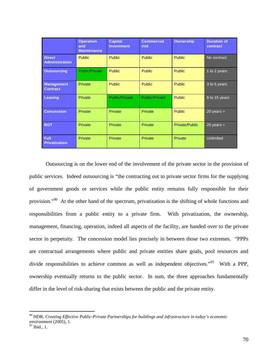|                                        | <b>Operation</b><br>and<br><b>Maintenance</b> | <b>Capital</b><br><b>Investment</b> | <b>Commercial</b><br><b>risk</b> | <b>Ownership</b>      | <b>Duration of</b><br>contract |
|----------------------------------------|-----------------------------------------------|-------------------------------------|----------------------------------|-----------------------|--------------------------------|
| <b>Direct</b><br><b>Administration</b> | <b>Public</b>                                 | <b>Public</b>                       | <b>Public</b>                    | <b>Public</b>         | No contract                    |
| <b>Outsourcing</b>                     | Public/Private                                | <b>Public</b>                       | <b>Public</b>                    | <b>Public</b>         | 1 to 2 years                   |
| <b>Management</b><br><b>Contract</b>   | Private                                       | <b>Public</b>                       | <b>Public</b>                    | <b>Public</b>         | 3 to 5 years                   |
| Leasing                                | Private                                       | <b>Public/Private</b>               | <b>Public/Private</b>            | <b>Public</b>         | 8 to 15 years                  |
| <b>Concession</b>                      | Private                                       | <b>Private</b>                      | Private                          | <b>Public</b>         | $20$ years $+$                 |
| <b>BOT</b>                             | Private                                       | <b>Private</b>                      | Private                          | <b>Private/Public</b> | $20$ years $+$                 |
| Full<br><b>Privatization</b>           | Private                                       | <b>Private</b>                      | Private                          | Private               | Unlimited                      |

Outsourcing is on the lower end of the involvement of the private sector in the provision of public services. Indeed outsourcing is "the contracting out to private sector firms for the supplying of government goods or services while the public entity remains fully responsible for their provision."90 At the other hand of the spectrum, privatization is the shifting of whole functions and responsibilities from a public entity to a private firm. With privatization, the ownership, management, financing, operation, indeed all aspects of the facility, are handed over to the private sector in perpetuity. The concession model lies precisely in between those two extremes. "PPPs are contractual arrangements where public and private entities share goals, pool resources and divide responsibilities to achieve common as well as independent objectives."<sup>91</sup> With a PPP, ownership eventually returns to the public sector. In sum, the three approaches fundamentally differ in the level of risk-sharing that exists between the public and the private entity.

<sup>90</sup> HDR, *Creating Effective Public-Private Partnerships for buildings and infrastructure in today's economic environment* (2005), 1.

 $91$  Ibid., 1.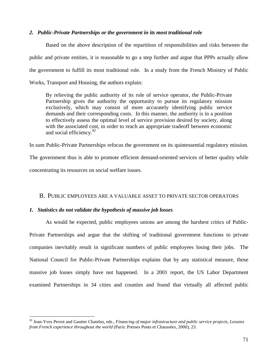#### *2. Public-Private Partnerships or the government in its most traditional role*

Based on the above description of the repartition of responsibilities and risks between the public and private entities, it is reasonable to go a step further and argue that PPPs actually allow the government to fulfill its most traditional role. In a study from the French Ministry of Public Works, Transport and Housing, the authors explain:

By relieving the public authority of its role of service operator, the Public-Private Partnership gives the authority the opportunity to pursue its regulatory mission exclusively, which may consist of more accurately identifying public service demands and their corresponding costs. In this manner, the authority is in a position to effectively assess the optimal level of service provision desired by society, along with the associated cost, in order to reach an appropriate tradeoff between economic and social efficiency.<sup>92</sup>

In sum Public-Private Partnerships refocus the government on its quintessential regulatory mission.

The government thus is able to promote efficient demand-oriented services of better quality while concentrating its resources on social welfare issues.

#### B. PUBLIC EMPLOYEES ARE A VALUABLE ASSET TO PRIVATE SECTOR OPERATORS

#### *1. Statistics do not validate the hypothesis of massive job losses*

 $\overline{a}$ 

As would be expected, public employees unions are among the harshest critics of Public-Private Partnerships and argue that the shifting of traditional government functions to private companies inevitably result in significant numbers of public employees losing their jobs. The National Council for Public-Private Partnerships explains that by any statistical measure, those massive job losses simply have not happened. In a 2001 report, the US Labor Department examined Partnerships in 34 cities and counties and found that virtually all affected public

<sup>92</sup> Jean-Yves Perrot and Gautier Chatelus, eds., *Financing of major infrastructure and public service projects, Lessons from French experience throughout the world* (Paris: Presses Ponts et Chaussées, 2000), 23.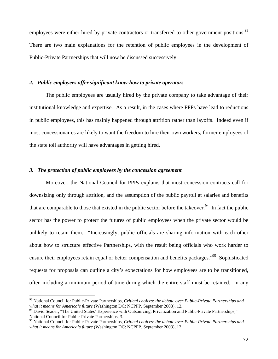employees were either hired by private contractors or transferred to other government positions.<sup>93</sup> There are two main explanations for the retention of public employees in the development of Public-Private Partnerships that will now be discussed successively.

#### *2. Public employees offer significant know-how to private operators*

The public employees are usually hired by the private company to take advantage of their institutional knowledge and expertise. As a result, in the cases where PPPs have lead to reductions in public employees, this has mainly happened through attrition rather than layoffs. Indeed even if most concessionaires are likely to want the freedom to hire their own workers, former employees of the state toll authority will have advantages in getting hired.

### *3. The protection of public employees by the concession agreement*

 $\overline{a}$ 

Moreover, the National Council for PPPs explains that most concession contracts call for downsizing only through attrition, and the assumption of the public payroll at salaries and benefits that are comparable to those that existed in the public sector before the takeover.<sup>94</sup> In fact the public sector has the power to protect the futures of public employees when the private sector would be unlikely to retain them. "Increasingly, public officials are sharing information with each other about how to structure effective Partnerships, with the result being officials who work harder to ensure their employees retain equal or better compensation and benefits packages."<sup>95</sup> Sophisticated requests for proposals can outline a city's expectations for how employees are to be transitioned, often including a minimum period of time during which the entire staff must be retained. In any

<sup>93</sup> National Council for Public-Private Partnerships, *Critical choices: the debate over Public-Private Partnerships and what it means for America's future* (Washington DC: NCPPP, September 2003), 12.

<sup>&</sup>lt;sup>94</sup> David Seader, "The United States' Experience with Outsourcing, Privatization and Public-Private Partnerships," National Council for Public-Private Partnerships, 3.

<sup>95</sup> National Council for Public-Private Partnerships, *Critical choices: the debate over Public-Private Partnerships and what it means for America's future* (Washington DC: NCPPP, September 2003), 12.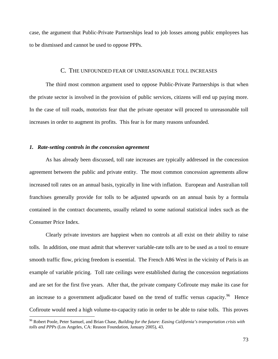case, the argument that Public-Private Partnerships lead to job losses among public employees has to be dismissed and cannot be used to oppose PPPs.

#### C. THE UNFOUNDED FEAR OF UNREASONABLE TOLL INCREASES

The third most common argument used to oppose Public-Private Partnerships is that when the private sector is involved in the provision of public services, citizens will end up paying more. In the case of toll roads, motorists fear that the private operator will proceed to unreasonable toll increases in order to augment its profits. This fear is for many reasons unfounded.

#### *1. Rate-setting controls in the concession agreement*

 $\overline{a}$ 

As has already been discussed, toll rate increases are typically addressed in the concession agreement between the public and private entity. The most common concession agreements allow increased toll rates on an annual basis, typically in line with inflation. European and Australian toll franchises generally provide for tolls to be adjusted upwards on an annual basis by a formula contained in the contract documents, usually related to some national statistical index such as the Consumer Price Index.

Clearly private investors are happiest when no controls at all exist on their ability to raise tolls. In addition, one must admit that wherever variable-rate tolls are to be used as a tool to ensure smooth traffic flow, pricing freedom is essential. The French A86 West in the vicinity of Paris is an example of variable pricing. Toll rate ceilings were established during the concession negotiations and are set for the first five years. After that, the private company Cofiroute may make its case for an increase to a government adjudicator based on the trend of traffic versus capacity.<sup>96</sup> Hence Cofiroute would need a high volume-to-capacity ratio in order to be able to raise tolls. This proves

<sup>96</sup> Robert Poole, Peter Samuel, and Brian Chase, *Building for the future: Easing California's transportation crisis with tolls and PPPs* (Los Angeles, CA: Reason Foundation, January 2005), 43.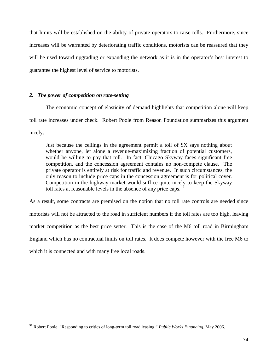that limits will be established on the ability of private operators to raise tolls. Furthermore, since increases will be warranted by deteriorating traffic conditions, motorists can be reassured that they will be used toward upgrading or expanding the network as it is in the operator's best interest to guarantee the highest level of service to motorists.

### *2. The power of competition on rate-setting*

 $\overline{a}$ 

The economic concept of elasticity of demand highlights that competition alone will keep toll rate increases under check. Robert Poole from Reason Foundation summarizes this argument nicely:

Just because the ceilings in the agreement permit a toll of \$X says nothing about whether anyone, let alone a revenue-maximizing fraction of potential customers, would be willing to pay that toll. In fact, Chicago Skyway faces significant free competition, and the concession agreement contains no non-compete clause. The private operator is entirely at risk for traffic and revenue. In such circumstances, the only reason to include price caps in the concession agreement is for political cover. Competition in the highway market would suffice quite nicely to keep the Skyway toll rates at reasonable levels in the absence of any price caps.  $97$ 

As a result, some contracts are premised on the notion that no toll rate controls are needed since motorists will not be attracted to the road in sufficient numbers if the toll rates are too high, leaving market competition as the best price setter. This is the case of the M6 toll road in Birmingham England which has no contractual limits on toll rates. It does compete however with the free M6 to which it is connected and with many free local roads.

<sup>97</sup> Robert Poole, "Responding to critics of long-term toll road leasing," *Public Works Financing*, May 2006.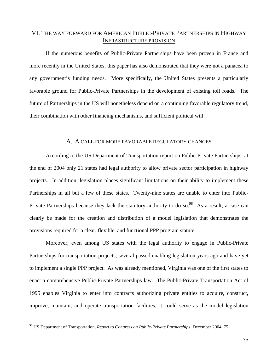# VI. THE WAY FORWARD FOR AMERICAN PUBLIC-PRIVATE PARTNERSHIPS IN HIGHWAY INFRASTRUCTURE PROVISION

If the numerous benefits of Public-Private Partnerships have been proven in France and more recently in the United States, this paper has also demonstrated that they were not a panacea to any government's funding needs. More specifically, the United States presents a particularly favorable ground for Public-Private Partnerships in the development of existing toll roads. The future of Partnerships in the US will nonetheless depend on a continuing favorable regulatory trend, their combination with other financing mechanisms, and sufficient political will.

#### A. A CALL FOR MORE FAVORABLE REGULATORY CHANGES

According to the US Department of Transportation report on Public-Private Partnerships, at the end of 2004 only 21 states had legal authority to allow private sector participation in highway projects. In addition, legislation places significant limitations on their ability to implement these Partnerships in all but a few of these states. Twenty-nine states are unable to enter into Public-Private Partnerships because they lack the statutory authority to do so.<sup>98</sup> As a result, a case can clearly be made for the creation and distribution of a model legislation that demonstrates the provisions required for a clear, flexible, and functional PPP program statute.

Moreover, even among US states with the legal authority to engage in Public-Private Partnerships for transportation projects, several passed enabling legislation years ago and have yet to implement a single PPP project. As was already mentioned, Virginia was one of the first states to enact a comprehensive Public-Private Partnerships law. The Public-Private Transportation Act of 1995 enables Virginia to enter into contracts authorizing private entities to acquire, construct, improve, maintain, and operate transportation facilities; it could serve as the model legislation

<sup>98</sup> US Department of Transportation, *Report to Congress on Public-Private Partnerships*, December 2004, 75.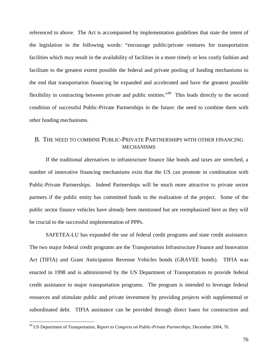referenced to above. The Act is accompanied by implementation guidelines that state the intent of the legislation in the following words: "encourage public/private ventures for transportation facilities which may result in the availability of facilities in a more timely or less costly fashion and facilitate to the greatest extent possible the federal and private pooling of funding mechanisms to the end that transportation financing be expanded and accelerated and have the greatest possible flexibility in contracting between private and public entities."<sup>99</sup> This leads directly to the second condition of successful Public-Private Partnerships in the future: the need to combine them with other funding mechanisms.

## B. THE NEED TO COMBINE PUBLIC-PRIVATE PARTNERSHIPS WITH OTHER FINANCING **MECHANISMS**

If the traditional alternatives to infrastructure finance like bonds and taxes are stretched, a number of innovative financing mechanisms exist that the US can promote in combination with Public-Private Partnerships. Indeed Partnerships will be much more attractive to private sector partners if the public entity has committed funds to the realization of the project. Some of the public sector finance vehicles have already been mentioned but are reemphasized here as they will be crucial to the successful implementation of PPPs.

SAFETEA-LU has expanded the use of federal credit programs and state credit assistance. The two major federal credit programs are the Transportation Infrastructure Finance and Innovation Act (TIFIA) and Grant Anticipation Revenue Vehicles bonds (GRAVEE bonds). TIFIA was enacted in 1998 and is administered by the US Department of Transportation to provide federal credit assistance to major transportation programs. The program is intended to leverage federal resources and stimulate public and private investment by providing projects with supplemental or subordinated debt. TIFIA assistance can be provided through direct loans for construction and

<sup>99</sup> US Department of Transportation, *Report to Congress on Public-Private Partnerships*, December 2004, 76.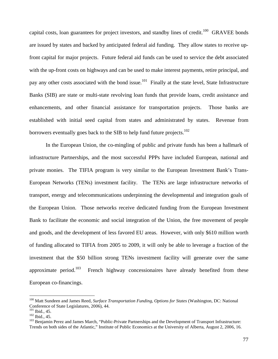capital costs, loan guarantees for project investors, and standby lines of credit.<sup>100</sup> GRAVEE bonds are issued by states and backed by anticipated federal aid funding. They allow states to receive upfront capital for major projects. Future federal aid funds can be used to service the debt associated with the up-front costs on highways and can be used to make interest payments, retire principal, and pay any other costs associated with the bond issue.<sup>101</sup> Finally at the state level, State Infrastructure Banks (SIB) are state or multi-state revolving loan funds that provide loans, credit assistance and enhancements, and other financial assistance for transportation projects. Those banks are established with initial seed capital from states and administrated by states. Revenue from borrowers eventually goes back to the SIB to help fund future projects.<sup>102</sup>

In the European Union, the co-mingling of public and private funds has been a hallmark of infrastructure Partnerships, and the most successful PPPs have included European, national and private monies. The TIFIA program is very similar to the European Investment Bank's Trans-European Networks (TENs) investment facility. The TENs are large infrastructure networks of transport, energy and telecommunications underpinning the developmental and integration goals of the European Union. Those networks receive dedicated funding from the European Investment Bank to facilitate the economic and social integration of the Union, the free movement of people and goods, and the development of less favored EU areas. However, with only \$610 million worth of funding allocated to TIFIA from 2005 to 2009, it will only be able to leverage a fraction of the investment that the \$50 billion strong TENs investment facility will generate over the same approximate period.<sup>103</sup> French highway concessionaires have already benefited from these European co-financings.

<sup>100</sup> Matt Sundeen and James Reed, *Surface Transportation Funding, Options for States* (Washington, DC: National Conference of State Legislatures, 2006), 44.<br><sup>101</sup> Ibid.. 45.

<sup>&</sup>lt;sup>102</sup> Ibid., 45.<br><sup>103</sup> Beniamin Perez and James March, "Public-Private Partnerships and the Development of Transport Infrastructure: Trends on both sides of the Atlantic," Institute of Public Economics at the University of Alberta, August 2, 2006, 16.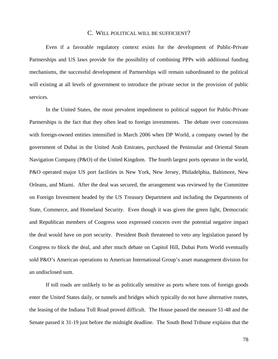## C. WILL POLITICAL WILL BE SUFFICIENT?

Even if a favorable regulatory context exists for the development of Public-Private Partnerships and US laws provide for the possibility of combining PPPs with additional funding mechanisms, the successful development of Partnerships will remain subordinated to the political will existing at all levels of government to introduce the private sector in the provision of public services.

In the United States, the most prevalent impediment to political support for Public-Private Partnerships is the fact that they often lead to foreign investments. The debate over concessions with foreign-owned entities intensified in March 2006 when DP World, a company owned by the government of Dubai in the United Arab Emirates, purchased the Peninsular and Oriental Steam Navigation Company (P&O) of the United Kingdom. The fourth largest ports operator in the world, P&O operated major US port facilities in New York, New Jersey, Philadelphia, Baltimore, New Orleans, and Miami. After the deal was secured, the arrangement was reviewed by the Committee on Foreign Investment headed by the US Treasury Department and including the Departments of State, Commerce, and Homeland Security. Even though it was given the green light, Democratic and Republican members of Congress soon expressed concern over the potential negative impact the deal would have on port security. President Bush threatened to veto any legislation passed by Congress to block the deal, and after much debate on Capitol Hill, Dubai Ports World eventually sold P&O's American operations to American International Group's asset management division for an undisclosed sum.

If toll roads are unlikely to be as politically sensitive as ports where tons of foreign goods enter the United States daily, or tunnels and bridges which typically do not have alternative routes, the leasing of the Indiana Toll Road proved difficult. The House passed the measure 51-48 and the Senate passed it 31-19 just before the midnight deadline. The South Bend Tribune explains that the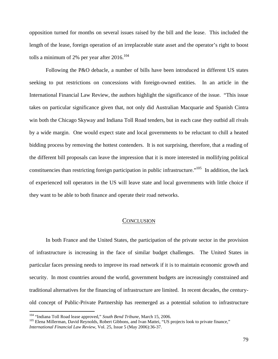opposition turned for months on several issues raised by the bill and the lease. This included the length of the lease, foreign operation of an irreplaceable state asset and the operator's right to boost tolls a minimum of 2% per year after 2016.<sup>104</sup>

Following the P&O debacle, a number of bills have been introduced in different US states seeking to put restrictions on concessions with foreign-owned entities. In an article in the International Financial Law Review, the authors highlight the significance of the issue. "This issue takes on particular significance given that, not only did Australian Macquarie and Spanish Cintra win both the Chicago Skyway and Indiana Toll Road tenders, but in each case they outbid all rivals by a wide margin. One would expect state and local governments to be reluctant to chill a heated bidding process by removing the hottest contenders. It is not surprising, therefore, that a reading of the different bill proposals can leave the impression that it is more interested in mollifying political constituencies than restricting foreign participation in public infrastructure."<sup>105</sup> In addition, the lack of experienced toll operators in the US will leave state and local governments with little choice if they want to be able to both finance and operate their road networks.

#### **CONCLUSION**

In both France and the United States, the participation of the private sector in the provision of infrastructure is increasing in the face of similar budget challenges. The United States in particular faces pressing needs to improve its road network if it is to maintain economic growth and security. In most countries around the world, government budgets are increasingly constrained and traditional alternatives for the financing of infrastructure are limited. In recent decades, the centuryold concept of Public-Private Partnership has reemerged as a potential solution to infrastructure

<sup>&</sup>lt;sup>104</sup> "Indiana Toll Road lease approved," *South Bend Tribune*, March 15, 2006.<br><sup>105</sup> Elena Millerman, David Reynolds, Robert Gibbons, and Ivan Mattei, "US projects look to private finance," *International Financial Law Review*, Vol. 25, Issue 5 (May 2006):36-37.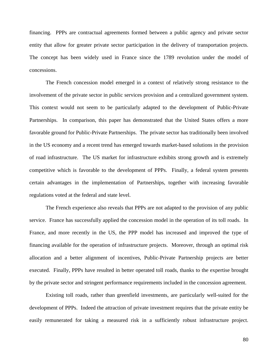financing. PPPs are contractual agreements formed between a public agency and private sector entity that allow for greater private sector participation in the delivery of transportation projects. The concept has been widely used in France since the 1789 revolution under the model of concessions.

The French concession model emerged in a context of relatively strong resistance to the involvement of the private sector in public services provision and a centralized government system. This context would not seem to be particularly adapted to the development of Public-Private Partnerships. In comparison, this paper has demonstrated that the United States offers a more favorable ground for Public-Private Partnerships. The private sector has traditionally been involved in the US economy and a recent trend has emerged towards market-based solutions in the provision of road infrastructure. The US market for infrastructure exhibits strong growth and is extremely competitive which is favorable to the development of PPPs. Finally, a federal system presents certain advantages in the implementation of Partnerships, together with increasing favorable regulations voted at the federal and state level.

The French experience also reveals that PPPs are not adapted to the provision of any public service. France has successfully applied the concession model in the operation of its toll roads. In France, and more recently in the US, the PPP model has increased and improved the type of financing available for the operation of infrastructure projects. Moreover, through an optimal risk allocation and a better alignment of incentives, Public-Private Partnership projects are better executed. Finally, PPPs have resulted in better operated toll roads, thanks to the expertise brought by the private sector and stringent performance requirements included in the concession agreement.

Existing toll roads, rather than greenfield investments, are particularly well-suited for the development of PPPs. Indeed the attraction of private investment requires that the private entity be easily remunerated for taking a measured risk in a sufficiently robust infrastructure project.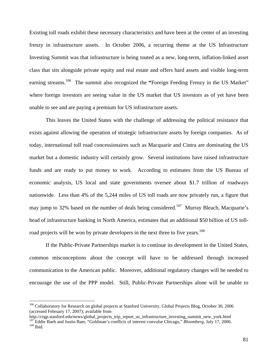Existing toll roads exhibit these necessary characteristics and have been at the center of an investing frenzy in infrastructure assets. In October 2006, a recurring theme at the US Infrastructure Investing Summit was that infrastructure is being touted as a new, long-term, inflation-linked asset class that sits alongside private equity and real estate and offers hard assets and visible long-term earning streams.<sup>106</sup> The summit also recognized the "Foreign Feeding Frenzy in the US Market" where foreign investors are seeing value in the US market that US investors as of yet have been unable to see and are paying a premium for US infrastructure assets.

This leaves the United States with the challenge of addressing the political resistance that exists against allowing the operation of strategic infrastructure assets by foreign companies. As of today, international toll road concessionaires such as Macquarie and Cintra are dominating the US market but a domestic industry will certainly grow. Several institutions have raised infrastructure funds and are ready to put money to work. According to estimates from the US Bureau of economic analysis, US local and state governments oversee about \$1.7 trillion of roadways nationwide. Less than 4% of the 5,244 miles of US toll roads are now privately run, a figure that may jump to 32% based on the number of deals being considered.<sup>107</sup> Murray Bleach, Macquarie's head of infrastructure banking in North America, estimates that an additional \$50 billion of US tollroad projects will be won by private developers in the next three to five years.<sup>108</sup>

If the Public-Private Partnerships market is to continue its development in the United States, common misconceptions about the concept will have to be addressed through increased communication to the American public. Moreover, additional regulatory changes will be needed to encourage the use of the PPP model. Still, Public-Private Partnerships alone will be unable to

<sup>&</sup>lt;sup>106</sup> Collaboratory for Research on global projects at Stanford University, Global Projects Blog, October 30, 2006 (accessed February 17, 2007); available from

http://crgp.stanford.edu/news/global\_projects\_trip\_report\_us\_infrastructure\_investing\_summit\_new\_york.html <sup>107</sup> Eddie Baeb and Justin Baer, "Goldman's conflicts of interest convulse Chicago," *Bloomberg*, July 17, 2006.<br><sup>108</sup> Ibid.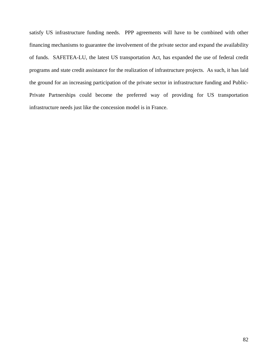satisfy US infrastructure funding needs. PPP agreements will have to be combined with other financing mechanisms to guarantee the involvement of the private sector and expand the availability of funds. SAFETEA-LU, the latest US transportation Act, has expanded the use of federal credit programs and state credit assistance for the realization of infrastructure projects. As such, it has laid the ground for an increasing participation of the private sector in infrastructure funding and Public-Private Partnerships could become the preferred way of providing for US transportation infrastructure needs just like the concession model is in France.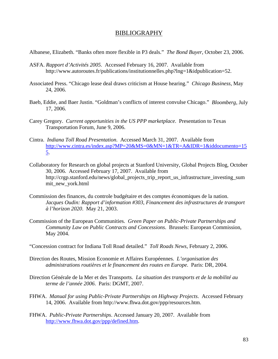## BIBLIOGRAPHY

Albanese, Elizabeth. "Banks often more flexible in P3 deals." *The Bond Buyer*, October 23, 2006.

- ASFA. *Rapport d'Activités 2005.* Accessed February 16, 2007. Available from http://www.autoroutes.fr/publications/institutionnelles.php?lng=1&idpublication=52.
- Associated Press. "Chicago lease deal draws criticism at House hearing." *Chicago Business*, May 24, 2006.
- Baeb, Eddie, and Baer Justin. "Goldman's conflicts of interest convulse Chicago." *Bloomberg*, July 17, 2006.
- Carey Gregory. *Current opportunities in the US PPP marketplace*. Presentation to Texas Transportation Forum, June 9, 2006.
- Cintra. *Indiana Toll Road Presentation*. Accessed March 31, 2007. Available from http://www.cintra.es/index.asp?MP=20&MS=0&MN=1&TR=A&IDR=1&iddocumento=15 5.
- Collaboratory for Research on global projects at Stanford University, Global Projects Blog, October 30, 2006. Accessed February 17, 2007. Available from http://crgp.stanford.edu/news/global\_projects\_trip\_report\_us\_infrastructure\_investing\_sum mit\_new\_york.html
- Commission des finances, du controle budgétaire et des comptes économiques de la nation. *Jacques Oudin: Rapport d'information #303, Financement des infrastructures de transport à l'horizon 2020*. May 21, 2003.
- Commission of the European Communities. *Green Paper on Public-Private Partnerships and Community Law on Public Contracts and Concessions*. Brussels: European Commission, May 2004.
- "Concession contract for Indiana Toll Road detailed." *Toll Roads News*, February 2, 2006.
- Direction des Routes, Mission Economie et Affaires Européennes. *L'organisation des administrations routières et le financement des routes en Europe.* Paris: DR, 2004.
- Direction Générale de la Mer et des Transports. *La situation des transports et de la mobilité au terme de l'année 2006*. Paris: DGMT, 2007.
- FHWA. *Manual for using Public-Private Partnerships on Highway Projects*. Accessed February 14, 2006. Available from http://www.fhwa.dot.gov/ppp/resources.htm.
- FHWA. *Public-Private Partnerships*. Accessed January 20, 2007. Available from http://www.fhwa.dot.gov/ppp/defined.htm.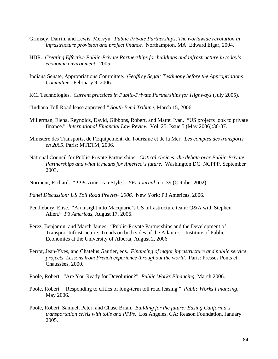- Grimsey, Darrin, and Lewis, Mervyn. *Public Private Partnerships, The worldwide revolution in infrastructure provision and project finance.* Northampton, MA: Edward Elgar, 2004.
- HDR. *Creating Effective Public-Private Partnerships for buildings and infrastructure in today's economic environment*. 2005.
- Indiana Senate, Appropriations Committee. *Geoffrey Segal: Testimony before the Appropriations Committee*. February 9, 2006.
- KCI Technologies. *Current practices in Public-Private Partnerships for Highways* (July 2005).
- "Indiana Toll Road lease approved," *South Bend Tribune*, March 15, 2006.
- Millerman, Elena, Reynolds, David, Gibbons, Robert, and Mattei Ivan. "US projects look to private finance." *International Financial Law Review*, Vol. 25, Issue 5 (May 2006):36-37.
- Ministère des Transports, de l'Equipement, du Tourisme et de la Mer. *Les comptes des transports en 2005*. Paris: MTETM, 2006.
- National Council for Public-Private Partnerships. *Critical choices: the debate over Public-Private Partnerships and what it means for America's future*. Washington DC: NCPPP, September 2003.
- Norment, Richard. "PPPs American Style." *PFI Journal*, no. 39 (October 2002).
- *Panel Discussion: US Toll Road Preview 2006*. New York: P3 Americas, 2006.
- Pendlebury, Elise. "An insight into Macquarie's US infrastructure team: Q&A with Stephen Allen." *P3 Americas*, August 17, 2006.
- Perez, Benjamin, and March James. "Public-Private Partnerships and the Development of Transport Infrastructure: Trends on both sides of the Atlantic." Institute of Public Economics at the University of Alberta, August 2, 2006.
- Perrot, Jean-Yves, and Chatelus Gautier, eds. *Financing of major infrastructure and public service projects, Lessons from French experience throughout the world*. Paris: Presses Ponts et Chaussées, 2000.
- Poole, Robert. "Are You Ready for Devolution?" *Public Works Financing*, March 2006.
- Poole, Robert. "Responding to critics of long-term toll road leasing." *Public Works Financing*, May 2006.
- Poole, Robert, Samuel, Peter, and Chase Brian. *Building for the future: Easing California's transportation crisis with tolls and PPPs*. Los Angeles, CA: Reason Foundation, January 2005.